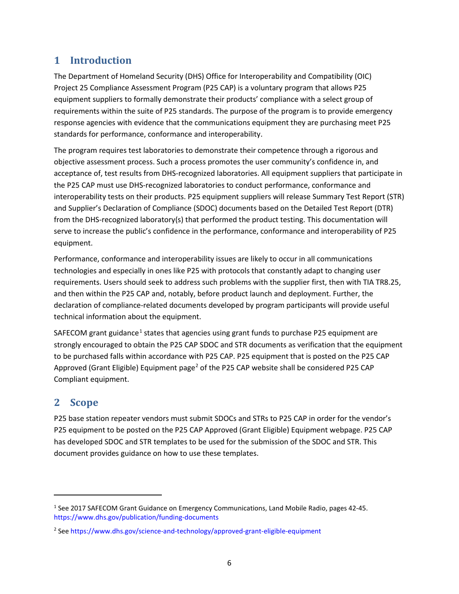# **1 Introduction**

The Department of Homeland Security (DHS) Office for Interoperability and Compatibility (OIC) Project 25 Compliance Assessment Program (P25 CAP) is a voluntary program that allows P25 equipment suppliers to formally demonstrate their products' compliance with a select group of requirements within the suite of P25 standards. The purpose of the program is to provide emergency response agencies with evidence that the communications equipment they are purchasing meet P25 standards for performance, conformance and interoperability.

The program requires test laboratories to demonstrate their competence through a rigorous and objective assessment process. Such a process promotes the user community's confidence in, and acceptance of, test results from DHS-recognized laboratories. All equipment suppliers that participate in the P25 CAP must use DHS-recognized laboratories to conduct performance, conformance and interoperability tests on their products. P25 equipment suppliers will release Summary Test Report (STR) and Supplier's Declaration of Compliance (SDOC) documents based on the Detailed Test Report (DTR) from the DHS-recognized laboratory(s) that performed the product testing. This documentation will serve to increase the public's confidence in the performance, conformance and interoperability of P25 equipment.

Performance, conformance and interoperability issues are likely to occur in all communications technologies and especially in ones like P25 with protocols that constantly adapt to changing user requirements. Users should seek to address such problems with the supplier first, then with TIA TR8.25, and then within the P25 CAP and, notably, before product launch and deployment. Further, the declaration of compliance-related documents developed by program participants will provide useful technical information about the equipment.

SAFECOM grant guidance<sup>[1](#page-5-0)</sup> states that agencies using grant funds to purchase P25 equipment are strongly encouraged to obtain the P25 CAP SDOC and STR documents as verification that the equipment to be purchased falls within accordance with P25 CAP. P25 equipment that is posted on the P25 CAP Approved (Grant Eligible) Equipment page<sup>[2](#page-5-1)</sup> of the P25 CAP website shall be considered P25 CAP Compliant equipment.

# **2 Scope**

l

P25 base station repeater vendors must submit SDOCs and STRs to P25 CAP in order for the vendor's P25 equipment to be posted on the P25 CAP Approved (Grant Eligible) Equipment webpage. P25 CAP has developed SDOC and STR templates to be used for the submission of the SDOC and STR. This document provides guidance on how to use these templates.

<span id="page-5-0"></span><sup>1</sup> See 2017 SAFECOM Grant Guidance on Emergency Communications, Land Mobile Radio, pages 42-45. <https://www.dhs.gov/publication/funding-documents>

<span id="page-5-1"></span><sup>2</sup> See<https://www.dhs.gov/science-and-technology/approved-grant-eligible-equipment>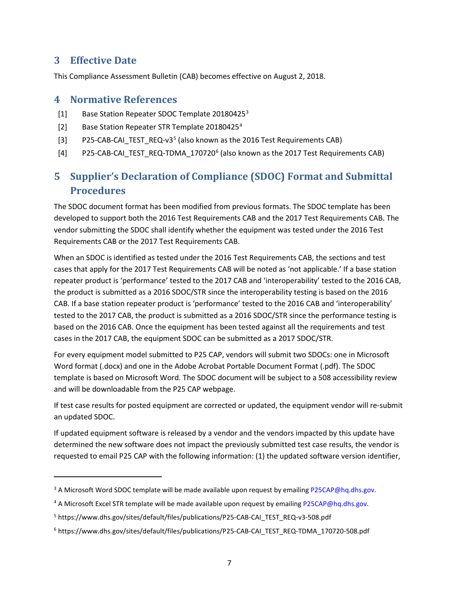# **3 Effective Date**

 $\overline{\phantom{a}}$ 

This Compliance Assessment Bulletin (CAB) becomes effective on August 2, 2018.

## **4 Normative References**

- [1] Base Station Repeater SDOC Template 20180425<sup>[3](#page-6-0)</sup>
- [2] Base Station Repeater STR Template 20180[4](#page-6-1)25<sup>4</sup>
- [3] P2[5](#page-6-2)-CAB-CAI\_TEST\_REQ-v3<sup>5</sup> (also known as the 2016 Test Requirements CAB)
- [4] P25-CAB-CAI TEST REQ-TDMA  $170720^6$  $170720^6$  (also known as the 2017 Test Requirements CAB)

# **5 Supplier's Declaration of Compliance (SDOC) Format and Submittal Procedures**

The SDOC document format has been modified from previous formats. The SDOC template has been developed to support both the 2016 Test Requirements CAB and the 2017 Test Requirements CAB. The vendor submitting the SDOC shall identify whether the equipment was tested under the 2016 Test Requirements CAB or the 2017 Test Requirements CAB.

When an SDOC is identified as tested under the 2016 Test Requirements CAB, the sections and test cases that apply for the 2017 Test Requirements CAB will be noted as 'not applicable.' If a base station repeater product is 'performance' tested to the 2017 CAB and 'interoperability' tested to the 2016 CAB, the product is submitted as a 2016 SDOC/STR since the interoperability testing is based on the 2016 CAB. If a base station repeater product is 'performance' tested to the 2016 CAB and 'interoperability' tested to the 2017 CAB, the product is submitted as a 2016 SDOC/STR since the performance testing is based on the 2016 CAB. Once the equipment has been tested against all the requirements and test cases in the 2017 CAB, the equipment SDOC can be submitted as a 2017 SDOC/STR.

For every equipment model submitted to P25 CAP, vendors will submit two SDOCs: one in Microsoft Word format (.docx) and one in the Adobe Acrobat Portable Document Format (.pdf). The SDOC template is based on Microsoft Word. The SDOC document will be subject to a 508 accessibility review and will be downloadable from the P25 CAP webpage.

If test case results for posted equipment are corrected or updated, the equipment vendor will re-submit an updated SDOC.

If updated equipment software is released by a vendor and the vendors impacted by this update have determined the new software does not impact the previously submitted test case results, the vendor is requested to email P25 CAP with the following information: (1) the updated software version identifier,

<span id="page-6-0"></span><sup>&</sup>lt;sup>3</sup> A Microsoft Word SDOC template will be made available upon request by emailin[g P25CAP@hq.dhs.gov.](mailto:P25CAP@hq.dhs.gov)

<span id="page-6-1"></span><sup>&</sup>lt;sup>4</sup> A Microsoft Excel STR template will be made available upon request by emailing P25CAP@hq.dhs.gov.

<span id="page-6-2"></span><sup>&</sup>lt;sup>5</sup> https://www.dhs.gov/sites/default/files/publications/P25-CAB-CAI\_TEST\_REQ-v3-508.pdf

<span id="page-6-3"></span><sup>6</sup> https://www.dhs.gov/sites/default/files/publications/P25-CAB-CAI\_TEST\_REQ-TDMA\_170720-508.pdf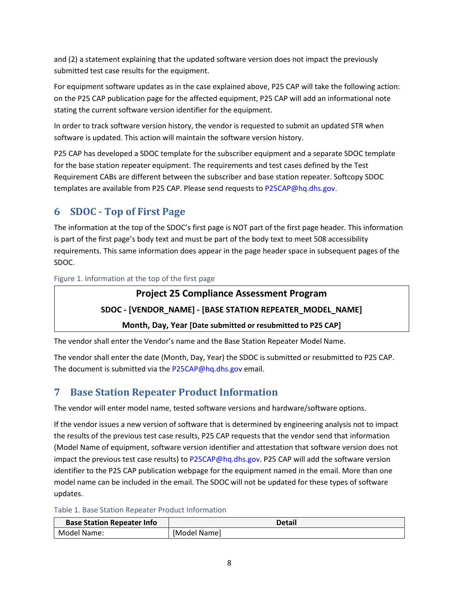and (2) a statement explaining that the updated software version does not impact the previously submitted test case results for the equipment.

For equipment software updates as in the case explained above, P25 CAP will take the following action: on the P25 CAP publication page for the affected equipment, P25 CAP will add an informational note stating the current software version identifier for the equipment.

In order to track software version history, the vendor is requested to submit an updated STR when software is updated. This action will maintain the software version history.

P25 CAP has developed a SDOC template for the subscriber equipment and a separate SDOC template for the base station repeater equipment. The requirements and test cases defined by the Test Requirement CABs are different between the subscriber and base station repeater. Softcopy SDOC templates are available from P25 CAP. Please send requests to P25CAP@hq.dhs.gov.

# **6 SDOC - Top of First Page**

The information at the top of the SDOC's first page is NOT part of the first page header. This information is part of the first page's body text and must be part of the body text to meet 508 accessibility requirements. This same information does appear in the page header space in subsequent pages of the SDOC.

Figure 1. Information at the top of the first page

# **Project 25 Compliance Assessment Program**

# **SDOC - [VENDOR\_NAME] - [BASE STATION REPEATER\_MODEL\_NAME]**

### **Month, Day, Year [Date submitted or resubmitted to P25 CAP]**

The vendor shall enter the Vendor's name and the Base Station Repeater Model Name.

The vendor shall enter the date (Month, Day, Year) the SDOC is submitted or resubmitted to P25 CAP. The document is submitted via th[e P25CAP@hq.dhs.gov](mailto:P25CAP@hq.dhs.gov) email.

# **7 Base Station Repeater Product Information**

The vendor will enter model name, tested software versions and hardware/software options.

If the vendor issues a new version of software that is determined by engineering analysis not to impact the results of the previous test case results, P25 CAP requests that the vendor send that information (Model Name of equipment, software version identifier and attestation that software version does not impact the previous test case results) to [P25CAP@hq.dhs.gov.](mailto:P25CAP@hq.dhs.gov) P25 CAP will add the software version identifier to the P25 CAP publication webpage for the equipment named in the email. More than one model name can be included in the email. The SDOC will not be updated for these types of software updates.

Table 1. Base Station Repeater Product Information

| <b>Base Station Repeater Info</b> | Detail       |
|-----------------------------------|--------------|
| Model Name:                       | [Model Name] |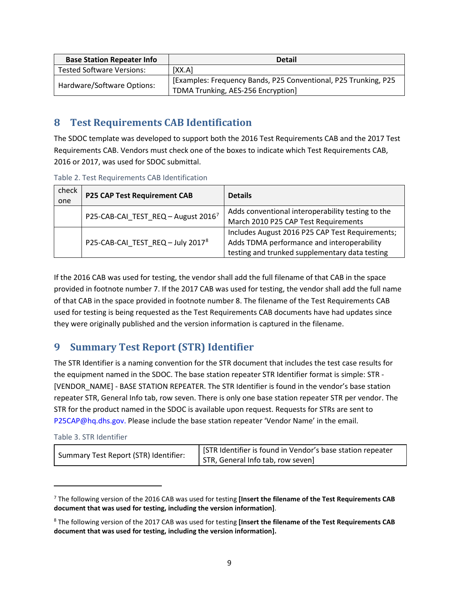| <b>Base Station Repeater Info</b> | <b>Detail</b>                                                   |  |
|-----------------------------------|-----------------------------------------------------------------|--|
| <b>Tested Software Versions:</b>  | [XX.A]                                                          |  |
| Hardware/Software Options:        | [Examples: Frequency Bands, P25 Conventional, P25 Trunking, P25 |  |
|                                   | TDMA Trunking, AES-256 Encryption]                              |  |

# **8 Test Requirements CAB Identification**

The SDOC template was developed to support both the 2016 Test Requirements CAB and the 2017 Test Requirements CAB. Vendors must check one of the boxes to indicate which Test Requirements CAB, 2016 or 2017, was used for SDOC submittal.

| Table 2. Test Requirements CAB Identification |  |  |  |  |  |
|-----------------------------------------------|--|--|--|--|--|
|-----------------------------------------------|--|--|--|--|--|

| check<br>one | <b>P25 CAP Test Requirement CAB</b>             | <b>Details</b>                                                                                                                                  |  |
|--------------|-------------------------------------------------|-------------------------------------------------------------------------------------------------------------------------------------------------|--|
|              | P25-CAB-CAI_TEST_REQ - August 2016 <sup>7</sup> | Adds conventional interoperability testing to the<br>March 2010 P25 CAP Test Requirements                                                       |  |
|              | P25-CAB-CAI TEST REQ - July 2017 <sup>8</sup>   | Includes August 2016 P25 CAP Test Requirements;<br>Adds TDMA performance and interoperability<br>testing and trunked supplementary data testing |  |

If the 2016 CAB was used for testing, the vendor shall add the full filename of that CAB in the space provided in footnote number 7. If the 2017 CAB was used for testing, the vendor shall add the full name of that CAB in the space provided in footnote number 8. The filename of the Test Requirements CAB used for testing is being requested as the Test Requirements CAB documents have had updates since they were originally published and the version information is captured in the filename.

# **9 Summary Test Report (STR) Identifier**

The STR Identifier is a naming convention for the STR document that includes the test case results for the equipment named in the SDOC. The base station repeater STR Identifier format is simple: STR - [VENDOR\_NAME] - BASE STATION REPEATER. The STR Identifier is found in the vendor's base station repeater STR, General Info tab, row seven. There is only one base station repeater STR per vendor. The STR for the product named in the SDOC is available upon request. Requests for STRs are sent to [P25CAP@hq.dhs.gov.](mailto:P25CAP@hq.dhs.gov) Please include the base station repeater 'Vendor Name' in the email.

|  |  |  | Table 3. STR Identifier |
|--|--|--|-------------------------|
|--|--|--|-------------------------|

 $\overline{\phantom{a}}$ 

|                                       | STR Identifier is found in Vendor's base station repeater |  |  |
|---------------------------------------|-----------------------------------------------------------|--|--|
| Summary Test Report (STR) Identifier: | STR, General Info tab, row seven]                         |  |  |

<span id="page-8-0"></span><sup>7</sup> The following version of the 2016 CAB was used for testing **[Insert the filename of the Test Requirements CAB document that was used for testing, including the version information]**.

<span id="page-8-1"></span><sup>8</sup> The following version of the 2017 CAB was used for testing **[Insert the filename of the Test Requirements CAB document that was used for testing, including the version information].**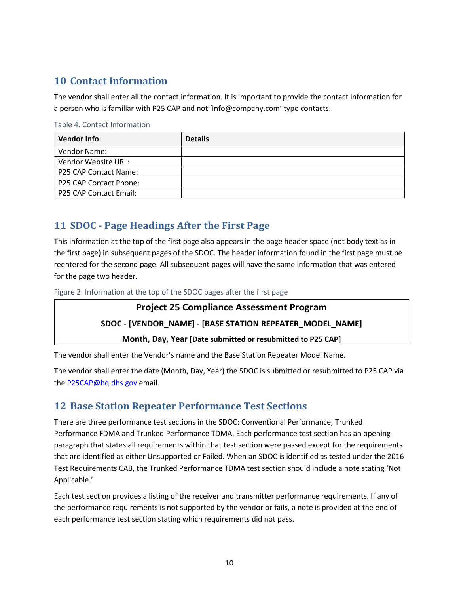# **10 Contact Information**

The vendor shall enter all the contact information. It is important to provide the contact information for a person who is familiar with P25 CAP and not 'info@company.com' type contacts.

#### Table 4. Contact Information

| <b>Vendor Info</b>     | <b>Details</b> |
|------------------------|----------------|
| Vendor Name:           |                |
| Vendor Website URL:    |                |
| P25 CAP Contact Name:  |                |
| P25 CAP Contact Phone: |                |
| P25 CAP Contact Email: |                |

# **11 SDOC - Page Headings After the First Page**

This information at the top of the first page also appears in the page header space (not body text as in the first page) in subsequent pages of the SDOC. The header information found in the first page must be reentered for the second page. All subsequent pages will have the same information that was entered for the page two header.

Figure 2. Information at the top of the SDOC pages after the first page

#### **Project 25 Compliance Assessment Program**

#### **SDOC - [VENDOR\_NAME] - [BASE STATION REPEATER\_MODEL\_NAME]**

**Month, Day, Year [Date submitted or resubmitted to P25 CAP]**

The vendor shall enter the Vendor's name and the Base Station Repeater Model Name.

The vendor shall enter the date (Month, Day, Year) the SDOC is submitted or resubmitted to P25 CAP via the [P25CAP@hq.dhs.gov](mailto:P25CAP@hq.dhs.gov) email.

## **12 Base Station Repeater Performance Test Sections**

There are three performance test sections in the SDOC: Conventional Performance, Trunked Performance FDMA and Trunked Performance TDMA. Each performance test section has an opening paragraph that states all requirements within that test section were passed except for the requirements that are identified as either Unsupported or Failed. When an SDOC is identified as tested under the 2016 Test Requirements CAB, the Trunked Performance TDMA test section should include a note stating 'Not Applicable.'

Each test section provides a listing of the receiver and transmitter performance requirements. If any of the performance requirements is not supported by the vendor or fails, a note is provided at the end of each performance test section stating which requirements did not pass.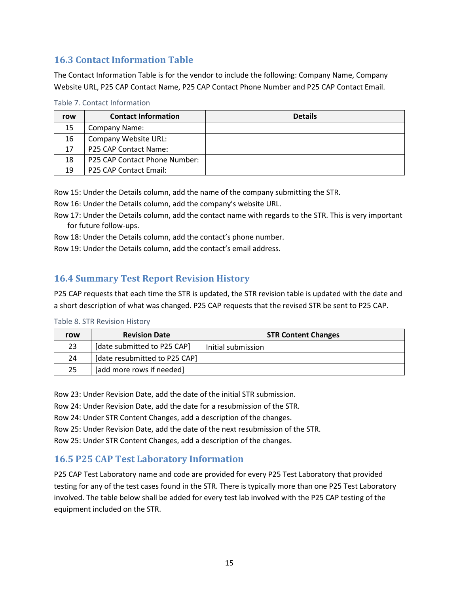# **16.3 Contact Information Table**

The Contact Information Table is for the vendor to include the following: Company Name, Company Website URL, P25 CAP Contact Name, P25 CAP Contact Phone Number and P25 CAP Contact Email.

| row | <b>Contact Information</b>    | <b>Details</b> |
|-----|-------------------------------|----------------|
| 15  | Company Name:                 |                |
| 16  | Company Website URL:          |                |
| 17  | P25 CAP Contact Name:         |                |
| 18  | P25 CAP Contact Phone Number: |                |
| 19  | P25 CAP Contact Email:        |                |

#### Table 7. Contact Information

Row 15: Under the Details column, add the name of the company submitting the STR.

Row 16: Under the Details column, add the company's website URL.

Row 17: Under the Details column, add the contact name with regards to the STR. This is very important for future follow-ups.

Row 18: Under the Details column, add the contact's phone number.

Row 19: Under the Details column, add the contact's email address.

## **16.4 Summary Test Report Revision History**

P25 CAP requests that each time the STR is updated, the STR revision table is updated with the date and a short description of what was changed. P25 CAP requests that the revised STR be sent to P25 CAP.

#### Table 8. STR Revision History

| row | <b>Revision Date</b>          | <b>STR Content Changes</b> |
|-----|-------------------------------|----------------------------|
| 23  | [date submitted to P25 CAP]   | Initial submission         |
| 24  | [date resubmitted to P25 CAP] |                            |
| 25  | [add more rows if needed]     |                            |

Row 23: Under Revision Date, add the date of the initial STR submission.

Row 24: Under Revision Date, add the date for a resubmission of the STR.

Row 24: Under STR Content Changes, add a description of the changes.

Row 25: Under Revision Date, add the date of the next resubmission of the STR.

Row 25: Under STR Content Changes, add a description of the changes.

## **16.5 P25 CAP Test Laboratory Information**

P25 CAP Test Laboratory name and code are provided for every P25 Test Laboratory that provided testing for any of the test cases found in the STR. There is typically more than one P25 Test Laboratory involved. The table below shall be added for every test lab involved with the P25 CAP testing of the equipment included on the STR.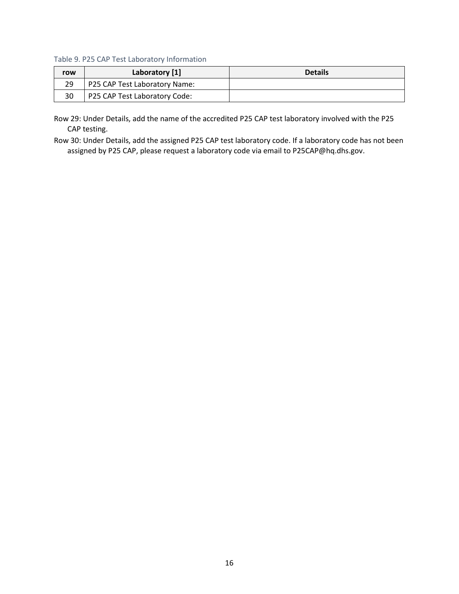Table 9. P25 CAP Test Laboratory Information

| row | Laboratory [1]                | <b>Details</b> |
|-----|-------------------------------|----------------|
| 29  | P25 CAP Test Laboratory Name: |                |
| 30  | P25 CAP Test Laboratory Code: |                |

Row 29: Under Details, add the name of the accredited P25 CAP test laboratory involved with the P25 CAP testing.

Row 30: Under Details, add the assigned P25 CAP test laboratory code. If a laboratory code has not been assigned by P25 CAP, please request a laboratory code via email to [P25CAP@hq.dhs.gov.](mailto:P25CAP@hq.dhs.gov)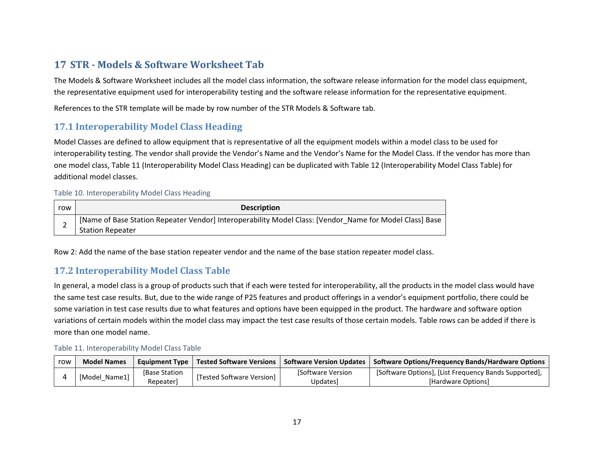# **17 STR - Models & Software Worksheet Tab**

The Models & Software Worksheet includes all the model class information, the software release information for the model class equipment, the representative equipment used for interoperability testing and the software release information for the representative equipment.

References to the STR template will be made by row number of the STR Models & Software tab.

## **17.1 Interoperability Model Class Heading**

Model Classes are defined to allow equipment that is representative of all the equipment models within a model class to be used for interoperability testing. The vendor shall provide the Vendor's Name and the Vendor's Name for the Model Class. If the vendor has more than one model class, Table 11 (Interoperability Model Class Heading) can be duplicated with Table 12 (Interoperability Model Class Table) for additional model classes.

#### Table 10. Interoperability Model Class Heading

| row | <b>Description</b>                                                                                                                 |
|-----|------------------------------------------------------------------------------------------------------------------------------------|
| -   | [Name of Base Station Repeater Vendor] Interoperability Model Class: [Vendor_Name for Model Class] Base<br><b>Station Repeater</b> |

Row 2: Add the name of the base station repeater vendor and the name of the base station repeater model class.

# **17.2 Interoperability Model Class Table**

In general, a model class is a group of products such that if each were tested for interoperability, all the products in the model class would have the same test case results. But, due to the wide range of P25 features and product offerings in a vendor's equipment portfolio, there could be some variation in test case results due to what features and options have been equipped in the product. The hardware and software option variations of certain models within the model class may impact the test case results of those certain models. Table rows can be added if there is more than one model name.

#### Table 11. Interoperability Model Class Table

| row           | <b>Model Names</b> |                     | Equipment Type   Tested Software Versions |                         | ↓ Software Version Updates   Software Options/Frequency Bands/Hardware Options |
|---------------|--------------------|---------------------|-------------------------------------------|-------------------------|--------------------------------------------------------------------------------|
|               |                    | <b>Base Station</b> | [Tested Software Version]                 | <b>Software Version</b> | [Software Options], [List Frequency Bands Supported],                          |
| [Model Name1] | Repeaterl          |                     | Updates]                                  | [Hardware Options]      |                                                                                |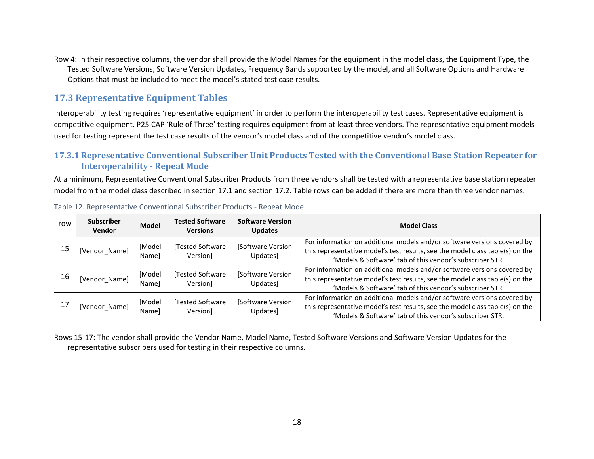Row 4: In their respective columns, the vendor shall provide the Model Names for the equipment in the model class, the Equipment Type, the Tested Software Versions, Software Version Updates, Frequency Bands supported by the model, and all Software Options and Hardware Options that must be included to meet the model's stated test case results.

# **17.3 Representative Equipment Tables**

Interoperability testing requires 'representative equipment' in order to perform the interoperability test cases. Representative equipment is competitive equipment. P25 CAP 'Rule of Three' testing requires equipment from at least three vendors. The representative equipment models used for testing represent the test case results of the vendor's model class and of the competitive vendor's model class.

### **17.3.1 Representative Conventional Subscriber Unit Products Tested with the Conventional Base Station Repeater for Interoperability - Repeat Mode**

At a minimum, Representative Conventional Subscriber Products from three vendors shall be tested with a representative base station repeater model from the model class described in section 17.1 and section 17.2. Table rows can be added if there are more than three vendor names.

| row | <b>Subscriber</b><br><b>Vendor</b> | <b>Model</b>           | <b>Tested Software</b><br><b>Versions</b> | <b>Software Version</b><br><b>Updates</b> | <b>Model Class</b>                                                                                                                                                                                                    |
|-----|------------------------------------|------------------------|-------------------------------------------|-------------------------------------------|-----------------------------------------------------------------------------------------------------------------------------------------------------------------------------------------------------------------------|
| 15  | [Vendor Name]                      | [Model<br>Namel        | [Tested Software<br>Version]              | Software Version<br>Updates]              | For information on additional models and/or software versions covered by<br>this representative model's test results, see the model class table(s) on the<br>'Models & Software' tab of this vendor's subscriber STR. |
| 16  | [Vendor Name]                      | [Model<br>Namel        | Tested Software<br>Version]               | [Software Version<br>Updates]             | For information on additional models and/or software versions covered by<br>this representative model's test results, see the model class table(s) on the<br>'Models & Software' tab of this vendor's subscriber STR. |
| 17  | [Vendor_Name]                      | [Model<br><b>Namel</b> | [Tested Software<br>Version]              | [Software Version<br>Updates]             | For information on additional models and/or software versions covered by<br>this representative model's test results, see the model class table(s) on the<br>'Models & Software' tab of this vendor's subscriber STR. |

Table 12. Representative Conventional Subscriber Products - Repeat Mode

Rows 15-17: The vendor shall provide the Vendor Name, Model Name, Tested Software Versions and Software Version Updates for the representative subscribers used for testing in their respective columns.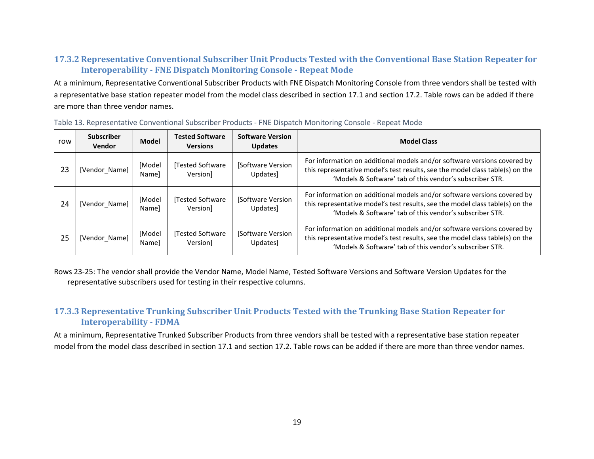### **17.3.2 Representative Conventional Subscriber Unit Products Tested with the Conventional Base Station Repeater for Interoperability - FNE Dispatch Monitoring Console - Repeat Mode**

At a minimum, Representative Conventional Subscriber Products with FNE Dispatch Monitoring Console from three vendors shall be tested with a representative base station repeater model from the model class described in section 17.1 and section 17.2. Table rows can be added if there are more than three vendor names.

| row | <b>Subscriber</b><br><b>Vendor</b> | <b>Model</b>    | <b>Tested Software</b><br><b>Versions</b> | <b>Software Version</b><br><b>Updates</b> | <b>Model Class</b>                                                                                                                                                                                                    |
|-----|------------------------------------|-----------------|-------------------------------------------|-------------------------------------------|-----------------------------------------------------------------------------------------------------------------------------------------------------------------------------------------------------------------------|
| 23  | [Vendor Name]                      | [Model<br>Namel | Tested Software<br>Versionl               | [Software Version<br>Updates]             | For information on additional models and/or software versions covered by<br>this representative model's test results, see the model class table(s) on the<br>'Models & Software' tab of this vendor's subscriber STR. |
| 24  | [Vendor Name]                      | [Model<br>Namel | Tested Software<br>Versionl               | [Software Version<br><b>Updates</b>       | For information on additional models and/or software versions covered by<br>this representative model's test results, see the model class table(s) on the<br>'Models & Software' tab of this vendor's subscriber STR. |
| 25  | [Vendor Name]                      | [Model<br>Namel | Tested Software<br>Version]               | [Software Version]<br>Updates]            | For information on additional models and/or software versions covered by<br>this representative model's test results, see the model class table(s) on the<br>'Models & Software' tab of this vendor's subscriber STR. |

Table 13. Representative Conventional Subscriber Products - FNE Dispatch Monitoring Console - Repeat Mode

Rows 23-25: The vendor shall provide the Vendor Name, Model Name, Tested Software Versions and Software Version Updates for the representative subscribers used for testing in their respective columns.

### **17.3.3 Representative Trunking Subscriber Unit Products Tested with the Trunking Base Station Repeater for Interoperability - FDMA**

At a minimum, Representative Trunked Subscriber Products from three vendors shall be tested with a representative base station repeater model from the model class described in section 17.1 and section 17.2. Table rows can be added if there are more than three vendor names.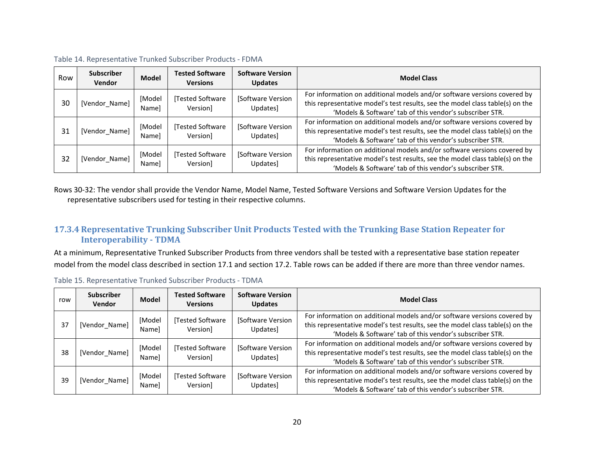| Row | <b>Subscriber</b><br><b>Vendor</b> | <b>Model</b>    | <b>Tested Software</b><br><b>Versions</b> | <b>Software Version</b><br><b>Updates</b> | <b>Model Class</b>                                                                                                                                                                                                    |
|-----|------------------------------------|-----------------|-------------------------------------------|-------------------------------------------|-----------------------------------------------------------------------------------------------------------------------------------------------------------------------------------------------------------------------|
| 30  | [Vendor_Name]                      | [Model<br>Namel | Tested Software<br>Version]               | [Software Version<br>Updates]             | For information on additional models and/or software versions covered by<br>this representative model's test results, see the model class table(s) on the<br>'Models & Software' tab of this vendor's subscriber STR. |
| 31  | [Vendor Name]                      | [Model<br>Namel | Tested Software<br>Version]               | [Software Version]<br>Updates]            | For information on additional models and/or software versions covered by<br>this representative model's test results, see the model class table(s) on the<br>'Models & Software' tab of this vendor's subscriber STR. |
| 32  | [Vendor Name]                      | [Model<br>Namel | Tested Software<br>Version                | [Software Version<br>Updates]             | For information on additional models and/or software versions covered by<br>this representative model's test results, see the model class table(s) on the<br>'Models & Software' tab of this vendor's subscriber STR. |

| Table 14. Representative Trunked Subscriber Products - FDMA |  |  |  |  |
|-------------------------------------------------------------|--|--|--|--|
|-------------------------------------------------------------|--|--|--|--|

Rows 30-32: The vendor shall provide the Vendor Name, Model Name, Tested Software Versions and Software Version Updates for the representative subscribers used for testing in their respective columns.

### **17.3.4 Representative Trunking Subscriber Unit Products Tested with the Trunking Base Station Repeater for Interoperability - TDMA**

At a minimum, Representative Trunked Subscriber Products from three vendors shall be tested with a representative base station repeater model from the model class described in section 17.1 and section 17.2. Table rows can be added if there are more than three vendor names.

| row | <b>Subscriber</b><br><b>Vendor</b> | <b>Model</b>           | <b>Tested Software</b><br><b>Versions</b> | <b>Software Version</b><br><b>Updates</b> | <b>Model Class</b>                                                                                                                                                                                                    |
|-----|------------------------------------|------------------------|-------------------------------------------|-------------------------------------------|-----------------------------------------------------------------------------------------------------------------------------------------------------------------------------------------------------------------------|
| 37  | [Vendor_Name]                      | [Model<br><b>Namel</b> | Tested Software<br>Version]               | [Software Version<br>Updates]             | For information on additional models and/or software versions covered by<br>this representative model's test results, see the model class table(s) on the<br>'Models & Software' tab of this vendor's subscriber STR. |
| 38  | [Vendor_Name]                      | [Model<br><b>Namel</b> | Tested Software<br>Version]               | [Software Version<br>Updates]             | For information on additional models and/or software versions covered by<br>this representative model's test results, see the model class table(s) on the<br>'Models & Software' tab of this vendor's subscriber STR. |
| 39  | [Vendor_Name]                      | [Model<br>Namel        | Tested Software<br>Version]               | [Software Version<br>Updates]             | For information on additional models and/or software versions covered by<br>this representative model's test results, see the model class table(s) on the<br>'Models & Software' tab of this vendor's subscriber STR. |

| Table 15. Representative Trunked Subscriber Products - TDMA |  |
|-------------------------------------------------------------|--|
|-------------------------------------------------------------|--|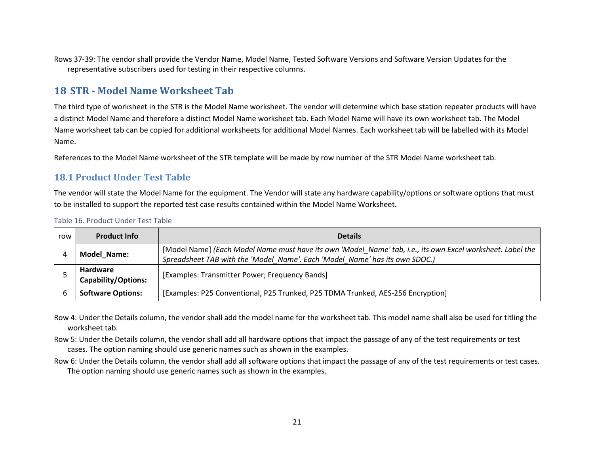Rows 37-39: The vendor shall provide the Vendor Name, Model Name, Tested Software Versions and Software Version Updates for the representative subscribers used for testing in their respective columns.

# **18 STR - Model Name Worksheet Tab**

The third type of worksheet in the STR is the Model Name worksheet. The vendor will determine which base station repeater products will have a distinct Model Name and therefore a distinct Model Name worksheet tab. Each Model Name will have its own worksheet tab. The Model Name worksheet tab can be copied for additional worksheets for additional Model Names. Each worksheet tab will be labelled with its Model Name.

References to the Model Name worksheet of the STR template will be made by row number of the STR Model Name worksheet tab.

### **18.1 Product Under Test Table**

The vendor will state the Model Name for the equipment. The Vendor will state any hardware capability/options or software options that must to be installed to support the reported test case results contained within the Model Name Worksheet.

| row | <b>Product Info</b>                    | <b>Details</b>                                                                                                                                                                            |
|-----|----------------------------------------|-------------------------------------------------------------------------------------------------------------------------------------------------------------------------------------------|
|     | Model_Name:                            | [Model Name] (Each Model Name must have its own 'Model Name' tab, i.e., its own Excel worksheet. Label the<br>Spreadsheet TAB with the 'Model Name'. Each 'Model Name' has its own SDOC.) |
|     | Hardware<br><b>Capability/Options:</b> | [Examples: Transmitter Power; Frequency Bands]                                                                                                                                            |
|     | <b>Software Options:</b>               | [Examples: P25 Conventional, P25 Trunked, P25 TDMA Trunked, AES-256 Encryption]                                                                                                           |

Table 16. Product Under Test Table

Row 4: Under the Details column, the vendor shall add the model name for the worksheet tab. This model name shall also be used for titling the worksheet tab.

Row 5: Under the Details column, the vendor shall add all hardware options that impact the passage of any of the test requirements or test cases. The option naming should use generic names such as shown in the examples.

Row 6: Under the Details column, the vendor shall add all software options that impact the passage of any of the test requirements or test cases. The option naming should use generic names such as shown in the examples.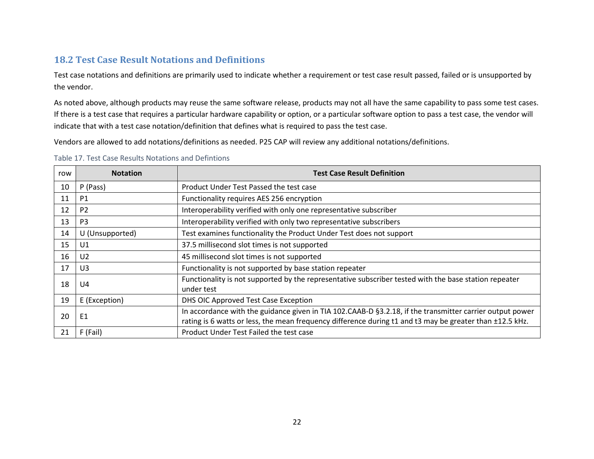# **18.2 Test Case Result Notations and Definitions**

Test case notations and definitions are primarily used to indicate whether a requirement or test case result passed, failed or is unsupported by the vendor.

As noted above, although products may reuse the same software release, products may not all have the same capability to pass some test cases. If there is a test case that requires a particular hardware capability or option, or a particular software option to pass a test case, the vendor will indicate that with a test case notation/definition that defines what is required to pass the test case.

Vendors are allowed to add notations/definitions as needed. P25 CAP will review any additional notations/definitions.

| Table 17. Test Case Results Notations and Defintions |  |  |  |
|------------------------------------------------------|--|--|--|
|------------------------------------------------------|--|--|--|

| row | <b>Notation</b> | <b>Test Case Result Definition</b>                                                                                                                                                                                   |
|-----|-----------------|----------------------------------------------------------------------------------------------------------------------------------------------------------------------------------------------------------------------|
| 10  | P (Pass)        | Product Under Test Passed the test case                                                                                                                                                                              |
| 11  | P <sub>1</sub>  | Functionality requires AES 256 encryption                                                                                                                                                                            |
| 12  | P <sub>2</sub>  | Interoperability verified with only one representative subscriber                                                                                                                                                    |
| 13  | P <sub>3</sub>  | Interoperability verified with only two representative subscribers                                                                                                                                                   |
| 14  | U (Unsupported) | Test examines functionality the Product Under Test does not support                                                                                                                                                  |
| 15  | U1              | 37.5 millisecond slot times is not supported                                                                                                                                                                         |
| 16  | U <sub>2</sub>  | 45 millisecond slot times is not supported                                                                                                                                                                           |
| 17  | U3              | Functionality is not supported by base station repeater                                                                                                                                                              |
| 18  | U4              | Functionality is not supported by the representative subscriber tested with the base station repeater<br>under test                                                                                                  |
| 19  | E (Exception)   | DHS OIC Approved Test Case Exception                                                                                                                                                                                 |
| 20  | E1              | In accordance with the guidance given in TIA 102.CAAB-D §3.2.18, if the transmitter carrier output power<br>rating is 6 watts or less, the mean frequency difference during t1 and t3 may be greater than ±12.5 kHz. |
| 21  | F (Fail)        | Product Under Test Failed the test case                                                                                                                                                                              |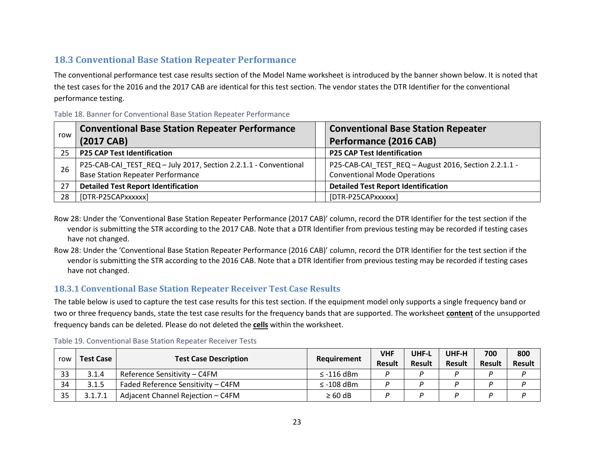## **18.3 Conventional Base Station Repeater Performance**

The conventional performance test case results section of the Model Name worksheet is introduced by the banner shown below. It is noted that the test cases for the 2016 and the 2017 CAB are identical for this test section. The vendor states the DTR Identifier for the conventional performance testing.

| row | <b>Conventional Base Station Repeater Performance</b><br>(2017 CAB)                                          | <b>Conventional Base Station Repeater</b><br>Performance (2016 CAB)                          |
|-----|--------------------------------------------------------------------------------------------------------------|----------------------------------------------------------------------------------------------|
| 25  | <b>P25 CAP Test Identification</b>                                                                           | <b>P25 CAP Test Identification</b>                                                           |
| 26  | P25-CAB-CAI_TEST_REQ - July 2017, Section 2.2.1.1 - Conventional<br><b>Base Station Repeater Performance</b> | P25-CAB-CAI_TEST_REQ - August 2016, Section 2.2.1.1 -<br><b>Conventional Mode Operations</b> |
| 27  | <b>Detailed Test Report Identification</b>                                                                   | <b>Detailed Test Report Identification</b>                                                   |
| 28  | [DTR-P25CAPxxxxxx]                                                                                           | [DTR-P25CAPxxxxxx]                                                                           |

Table 18. Banner for Conventional Base Station Repeater Performance

- Row 28: Under the 'Conventional Base Station Repeater Performance (2017 CAB)' column, record the DTR Identifier for the test section if the vendor is submitting the STR according to the 2017 CAB. Note that a DTR Identifier from previous testing may be recorded if testing cases have not changed.
- Row 28: Under the 'Conventional Base Station Repeater Performance (2016 CAB)' column, record the DTR Identifier for the test section if the vendor is submitting the STR according to the 2016 CAB. Note that a DTR Identifier from previous testing may be recorded if testing cases have not changed.

### **18.3.1 Conventional Base Station Repeater Receiver Test Case Results**

The table below is used to capture the test case results for this test section. If the equipment model only supports a single frequency band or two or three frequency bands, state the test case results for the frequency bands that are supported. The worksheet **content** of the unsupported frequency bands can be deleted. Please do not deleted the **cells** within the worksheet.

| Test Case<br>row |       | <b>Test Case Description</b>       |                | <b>VHF</b>    | UHF-L  | UHF-H         | 700           | 800           |
|------------------|-------|------------------------------------|----------------|---------------|--------|---------------|---------------|---------------|
|                  |       |                                    | Requirement    | <b>Result</b> | Result | <b>Result</b> | <b>Result</b> | <b>Result</b> |
| 33               | 3.1.4 | Reference Sensitivity - C4FM       | $\le$ -116 dBm |               |        |               |               |               |
| 34               | 3.1.5 | Faded Reference Sensitivity - C4FM | $\le$ -108 dBm |               |        |               |               |               |
| 35               | 2171  | Adjacent Channel Rejection - C4FM  | $\geq 60$ dB   |               |        |               |               |               |

Table 19. Conventional Base Station Repeater Receiver Tests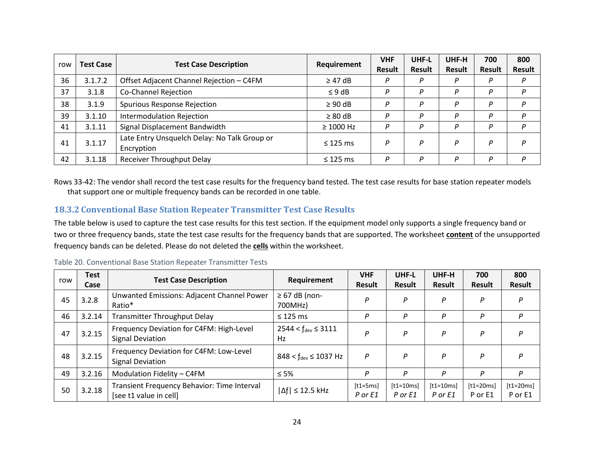| row | <b>Test Case</b> | <b>Test Case Description</b>                               | Requirement    | <b>VHF</b> | UHF-L         | UHF-H  | 700    | 800           |
|-----|------------------|------------------------------------------------------------|----------------|------------|---------------|--------|--------|---------------|
|     |                  |                                                            |                | Result     | <b>Result</b> | Result | Result | <b>Result</b> |
| 36  | 3.1.7.2          | Offset Adjacent Channel Rejection - C4FM                   | $\geq$ 47 dB   | P          | P             | P      | P      | D             |
| 37  | 3.1.8            | Co-Channel Rejection                                       | $\leq$ 9 dB    | P          | P             | P      | P      | D             |
| 38  | 3.1.9            | Spurious Response Rejection                                | $\geq 90$ dB   | D          | P             | P      | D      | D             |
| 39  | 3.1.10           | <b>Intermodulation Rejection</b>                           | $\geq 80$ dB   | P          | P             | P      | D      | D             |
| 41  | 3.1.11           | Signal Displacement Bandwidth                              | $\geq 1000$ Hz | P          | P             | P      | D      | D             |
| 41  | 3.1.17           | Late Entry Unsquelch Delay: No Talk Group or<br>Encryption | $\leq$ 125 ms  | P          | P             | P      | D      | P             |
| 42  | 3.1.18           | <b>Receiver Throughput Delay</b>                           | $\leq$ 125 ms  | D          | P             | P      | D      | D             |

Rows 33-42: The vendor shall record the test case results for the frequency band tested. The test case results for base station repeater models that support one or multiple frequency bands can be recorded in one table.

### **18.3.2 Conventional Base Station Repeater Transmitter Test Case Results**

The table below is used to capture the test case results for this test section. If the equipment model only supports a single frequency band or two or three frequency bands, state the test case results for the frequency bands that are supported. The worksheet **content** of the unsupported frequency bands can be deleted. Please do not deleted the **cells** within the worksheet.

| row | <b>Test</b><br>Case | <b>Test Case Description</b>                                          | Requirement                      | <b>VHF</b><br><b>Result</b> | UHF-L<br>Result        | UHF-H<br>Result        | 700<br><b>Result</b>   | 800<br><b>Result</b>   |
|-----|---------------------|-----------------------------------------------------------------------|----------------------------------|-----------------------------|------------------------|------------------------|------------------------|------------------------|
| 45  | 3.2.8               | Unwanted Emissions: Adjacent Channel Power<br>Ratio*                  | $\geq 67$ dB (non-<br>700MHz)    | P                           | P                      | P                      | P                      | P                      |
| 46  | 3.2.14              | <b>Transmitter Throughput Delay</b>                                   | $\leq$ 125 ms                    | Р                           | P                      | P                      | P                      | P                      |
| 47  | 3.2.15              | Frequency Deviation for C4FM: High-Level<br><b>Signal Deviation</b>   | $2544 < f_{dev} \leq 3111$<br>Hz | Р                           | P                      | P                      | P                      | P                      |
| 48  | 3.2.15              | Frequency Deviation for C4FM: Low-Level<br><b>Signal Deviation</b>    | $848 < f_{dev} \le 1037$ Hz      | P                           | P                      | P                      | P                      | P                      |
| 49  | 3.2.16              | Modulation Fidelity - C4FM                                            | $\leq 5\%$                       | P                           | P                      | P                      | P                      | P                      |
| 50  | 3.2.18              | Transient Frequency Behavior: Time Interval<br>[see t1 value in cell] | $\Delta f$ $\leq$ 12.5 kHz       | $[t1=5ms]$<br>P or E1       | $[t1=10ms]$<br>P or E1 | $[t1=10ms]$<br>P or E1 | $[t1=20ms]$<br>P or E1 | $[t1=20ms]$<br>P or E1 |

#### Table 20. Conventional Base Station Repeater Transmitter Tests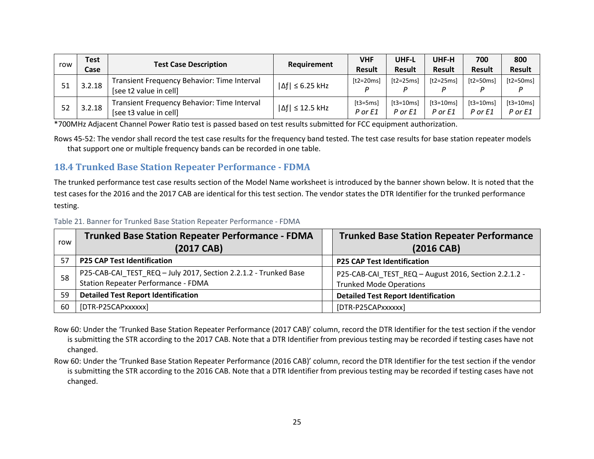|     | Test   | <b>Test Case Description</b><br>Requirement                           |                            | VHF                 | UHF-L                  | UHF-H                  | 700                    | 800                    |
|-----|--------|-----------------------------------------------------------------------|----------------------------|---------------------|------------------------|------------------------|------------------------|------------------------|
| row | Case   |                                                                       |                            | <b>Result</b>       | <b>Result</b>          | <b>Result</b>          | <b>Result</b>          | <b>Result</b>          |
| 51  | 3.2.18 | Transient Frequency Behavior: Time Interval<br>[see t2 value in cell] | $ \Delta f  \leq 6.25$ kHz | ft2=20msl           | $[t2=25ms]$            | $[t2=25ms]$            | $[t2=50ms]$            | $[t2=50ms]$<br>D       |
| 52  | 3.2.18 | Transient Frequency Behavior: Time Interval<br>[see t3 value in cell] | $ \Delta f  \leq 12.5$ kHz | ft3=5msl<br>P or E1 | $[t3=10ms]$<br>P or E1 | $[t3=10ms]$<br>P or F1 | $[t3=10ms]$<br>P or F1 | $[t3=10ms]$<br>P or E1 |

\*700MHz Adjacent Channel Power Ratio test is passed based on test results submitted for FCC equipment authorization.

Rows 45-52: The vendor shall record the test case results for the frequency band tested. The test case results for base station repeater models that support one or multiple frequency bands can be recorded in one table.

## **18.4 Trunked Base Station Repeater Performance - FDMA**

The trunked performance test case results section of the Model Name worksheet is introduced by the banner shown below. It is noted that the test cases for the 2016 and the 2017 CAB are identical for this test section. The vendor states the DTR Identifier for the trunked performance testing.

|  |  | Table 21. Banner for Trunked Base Station Repeater Performance - FDMA |  |
|--|--|-----------------------------------------------------------------------|--|
|  |  |                                                                       |  |

| row | <b>Trunked Base Station Repeater Performance - FDMA</b><br>(2017 CAB)                                          | <b>Trunked Base Station Repeater Performance</b><br>(2016 CAB)                          |
|-----|----------------------------------------------------------------------------------------------------------------|-----------------------------------------------------------------------------------------|
| 57  | <b>P25 CAP Test Identification</b>                                                                             | <b>P25 CAP Test Identification</b>                                                      |
| 58  | P25-CAB-CAI_TEST_REQ - July 2017, Section 2.2.1.2 - Trunked Base<br><b>Station Repeater Performance - FDMA</b> | P25-CAB-CAI_TEST_REQ - August 2016, Section 2.2.1.2 -<br><b>Trunked Mode Operations</b> |
| 59  | <b>Detailed Test Report Identification</b>                                                                     | <b>Detailed Test Report Identification</b>                                              |
| 60  | [DTR-P25CAPxxxxxx]                                                                                             | [DTR-P25CAPxxxxxx]                                                                      |

Row 60: Under the 'Trunked Base Station Repeater Performance (2017 CAB)' column, record the DTR Identifier for the test section if the vendor is submitting the STR according to the 2017 CAB. Note that a DTR Identifier from previous testing may be recorded if testing cases have not changed.

Row 60: Under the 'Trunked Base Station Repeater Performance (2016 CAB)' column, record the DTR Identifier for the test section if the vendor is submitting the STR according to the 2016 CAB. Note that a DTR Identifier from previous testing may be recorded if testing cases have not changed.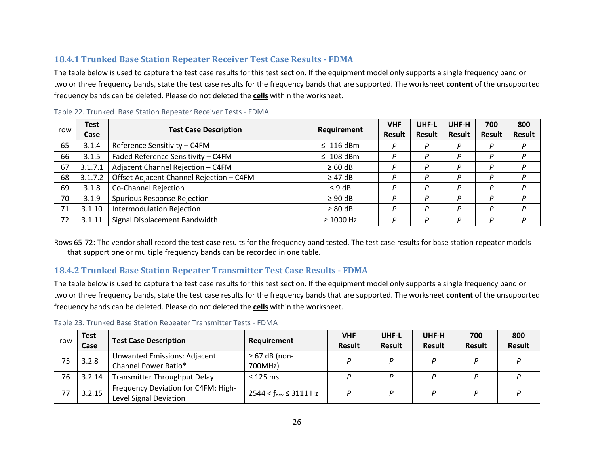## **18.4.1 Trunked Base Station Repeater Receiver Test Case Results - FDMA**

The table below is used to capture the test case results for this test section. If the equipment model only supports a single frequency band or two or three frequency bands, state the test case results for the frequency bands that are supported. The worksheet **content** of the unsupported frequency bands can be deleted. Please do not deleted the **cells** within the worksheet.

| row | <b>Test</b><br>Case | <b>Test Case Description</b>             | Requirement     | <b>VHF</b><br><b>Result</b> | UHF-L<br>Result | UHF-H<br><b>Result</b> | 700<br><b>Result</b> | 800<br><b>Result</b> |
|-----|---------------------|------------------------------------------|-----------------|-----------------------------|-----------------|------------------------|----------------------|----------------------|
| 65  | 3.1.4               | Reference Sensitivity - C4FM             | $\le$ -116 dBm  | P                           | P               | P                      | Ρ                    |                      |
| 66  | 3.1.5               | Faded Reference Sensitivity - C4FM       | $\leq$ -108 dBm | P                           | D               | D                      | D                    |                      |
| 67  | 3.1.7.1             | Adjacent Channel Rejection - C4FM        | $\geq 60$ dB    | P                           | Р               | P                      | P                    |                      |
| 68  | 3.1.7.2             | Offset Adjacent Channel Rejection - C4FM | $\geq$ 47 dB    | P                           | D               | P                      | D                    |                      |
| 69  | 3.1.8               | <b>Co-Channel Rejection</b>              | $\leq 9$ dB     | P                           | P               | P                      | D                    |                      |
| 70  | 3.1.9               | Spurious Response Rejection              | $\geq 90$ dB    | P                           | P               | P                      | P                    |                      |
| 71  | 3.1.10              | <b>Intermodulation Rejection</b>         | $\geq 80$ dB    | P                           | P               | P                      | D                    |                      |
| 72  | 3.1.11              | Signal Displacement Bandwidth            | $\geq 1000$ Hz  | P                           | D               | D                      | D                    |                      |

Table 22. Trunked Base Station Repeater Receiver Tests - FDMA

Rows 65-72: The vendor shall record the test case results for the frequency band tested. The test case results for base station repeater models that support one or multiple frequency bands can be recorded in one table.

#### **18.4.2 Trunked Base Station Repeater Transmitter Test Case Results - FDMA**

The table below is used to capture the test case results for this test section. If the equipment model only supports a single frequency band or two or three frequency bands, state the test case results for the frequency bands that are supported. The worksheet **content** of the unsupported frequency bands can be deleted. Please do not deleted the **cells** within the worksheet.

| row | <b>Test</b><br>Case | <b>Test Case Description</b>                                  | Requirement                   | <b>VHF</b><br><b>Result</b> | UHF-L<br><b>Result</b> | UHF-H<br><b>Result</b> | 700<br><b>Result</b> | 800<br><b>Result</b> |
|-----|---------------------|---------------------------------------------------------------|-------------------------------|-----------------------------|------------------------|------------------------|----------------------|----------------------|
| 75  | 3.2.8               | <b>Unwanted Emissions: Adjacent</b><br>Channel Power Ratio*   | $\geq$ 67 dB (non-<br>700MHz) |                             |                        |                        |                      |                      |
| 76  | 3.2.14              | <b>Transmitter Throughput Delay</b>                           | $\leq$ 125 ms                 |                             |                        |                        |                      |                      |
| 77  | 3.2.15              | Frequency Deviation for C4FM: High-<br>Level Signal Deviation | $2544 < f_{dev} \leq 3111$ Hz |                             |                        |                        |                      |                      |

Table 23. Trunked Base Station Repeater Transmitter Tests - FDMA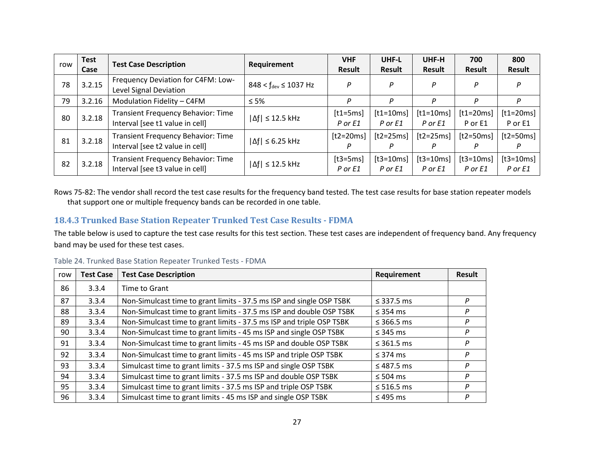| row | <b>Test</b> | <b>Test Case Description</b>                                                 | Requirement                                | <b>VHF</b>            | UHF-L                  | UHF-H                      | 700                        | 800                    |
|-----|-------------|------------------------------------------------------------------------------|--------------------------------------------|-----------------------|------------------------|----------------------------|----------------------------|------------------------|
|     | Case        |                                                                              |                                            | Result                | Result                 | Result                     | <b>Result</b>              | <b>Result</b>          |
| 78  | 3.2.15      | Frequency Deviation for C4FM: Low-<br>Level Signal Deviation                 | $848 < f_{\text{dev}} \le 1037 \text{ Hz}$ | P                     | P                      | P                          | D                          | P                      |
| 79  | 3.2.16      | Modulation Fidelity - C4FM                                                   | $\leq 5\%$                                 | P                     | P                      | P                          | P                          | Ρ                      |
| 80  | 3.2.18      | <b>Transient Frequency Behavior: Time</b><br>Interval [see t1 value in cell] | $ \Delta f  \leq 12.5$ kHz                 | $[t1=5ms]$<br>P or E1 | $[t1=10ms]$<br>P or E1 | $[t1=10ms]$<br>$P$ or $E1$ | $[t1=20ms]$<br>P or E1     | $[t1=20ms]$<br>P or E1 |
| 81  | 3.2.18      | <b>Transient Frequency Behavior: Time</b><br>Interval [see t2 value in cell] | $ \Delta f  \leq 6.25$ kHz                 | $[t2=20ms]$<br>Р      | $[t2=25ms]$<br>P       | $[t2=25ms]$<br>P           | $[t2=50ms]$<br>P           | $[t2=50ms]$            |
| 82  | 3.2.18      | <b>Transient Frequency Behavior: Time</b><br>Interval [see t3 value in cell] | $ \Delta f  \leq 12.5$ kHz                 | $[t3=5ms]$<br>P or E1 | $[t3=10ms]$<br>P or E1 | $[t3=10ms]$<br>$P$ or $E1$ | $[t3=10ms]$<br>$P$ or $E1$ | $[t3=10ms]$<br>P or E1 |

Rows 75-82: The vendor shall record the test case results for the frequency band tested. The test case results for base station repeater models that support one or multiple frequency bands can be recorded in one table.

#### **18.4.3 Trunked Base Station Repeater Trunked Test Case Results - FDMA**

The table below is used to capture the test case results for this test section. These test cases are independent of frequency band. Any frequency band may be used for these test cases.

|  | Table 24. Trunked Base Station Repeater Trunked Tests - FDMA |
|--|--------------------------------------------------------------|
|--|--------------------------------------------------------------|

| row | <b>Test Case</b> | <b>Test Case Description</b>                                         | Requirement     | Result |
|-----|------------------|----------------------------------------------------------------------|-----------------|--------|
| 86  | 3.3.4            | Time to Grant                                                        |                 |        |
| 87  | 3.3.4            | Non-Simulcast time to grant limits - 37.5 ms ISP and single OSP TSBK | $\leq$ 337.5 ms | P      |
| 88  | 3.3.4            | Non-Simulcast time to grant limits - 37.5 ms ISP and double OSP TSBK | $\leq$ 354 ms   | P      |
| 89  | 3.3.4            | Non-Simulcast time to grant limits - 37.5 ms ISP and triple OSP TSBK | $\leq$ 366.5 ms | P      |
| 90  | 3.3.4            | Non-Simulcast time to grant limits - 45 ms ISP and single OSP TSBK   | $\leq$ 345 ms   | P      |
| 91  | 3.3.4            | Non-Simulcast time to grant limits - 45 ms ISP and double OSP TSBK   | $\leq$ 361.5 ms | P      |
| 92  | 3.3.4            | Non-Simulcast time to grant limits - 45 ms ISP and triple OSP TSBK   | $\leq$ 374 ms   | P      |
| 93  | 3.3.4            | Simulcast time to grant limits - 37.5 ms ISP and single OSP TSBK     | $\leq$ 487.5 ms | P      |
| 94  | 3.3.4            | Simulcast time to grant limits - 37.5 ms ISP and double OSP TSBK     | $\leq 504$ ms   | P      |
| 95  | 3.3.4            | Simulcast time to grant limits - 37.5 ms ISP and triple OSP TSBK     | $\leq$ 516.5 ms | Ρ      |
| 96  | 3.3.4            | Simulcast time to grant limits - 45 ms ISP and single OSP TSBK       | $\leq$ 495 ms   | P      |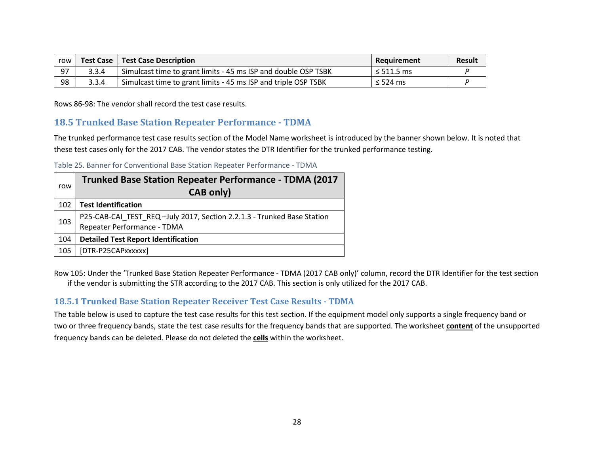| row |       | <b>Test Case   Test Case Description</b>                                    | Reauirement       | <b>Result</b> |
|-----|-------|-----------------------------------------------------------------------------|-------------------|---------------|
| 97  | 3.3.4 | <sup>1</sup> Simulcast time to grant limits - 45 ms ISP and double OSP TSBK | $1 \leq 511.5$ ms |               |
| 98  | 3.3.4 | Simulcast time to grant limits - 45 ms ISP and triple OSP TSBK              | $\leq$ 524 ms     |               |

Rows 86-98: The vendor shall record the test case results.

### **18.5 Trunked Base Station Repeater Performance - TDMA**

The trunked performance test case results section of the Model Name worksheet is introduced by the banner shown below. It is noted that these test cases only for the 2017 CAB. The vendor states the DTR Identifier for the trunked performance testing.

Table 25. Banner for Conventional Base Station Repeater Performance - TDMA

| row | <b>Trunked Base Station Repeater Performance - TDMA (2017</b><br><b>CAB only)</b>                      |
|-----|--------------------------------------------------------------------------------------------------------|
| 102 | <b>Test Identification</b>                                                                             |
| 103 | P25-CAB-CAI_TEST_REQ -July 2017, Section 2.2.1.3 - Trunked Base Station<br>Repeater Performance - TDMA |
| 104 | <b>Detailed Test Report Identification</b>                                                             |
| 105 | [DTR-P25CAPxxxxxx]                                                                                     |

Row 105: Under the 'Trunked Base Station Repeater Performance - TDMA (2017 CAB only)' column, record the DTR Identifier for the test section if the vendor is submitting the STR according to the 2017 CAB. This section is only utilized for the 2017 CAB.

#### **18.5.1 Trunked Base Station Repeater Receiver Test Case Results - TDMA**

The table below is used to capture the test case results for this test section. If the equipment model only supports a single frequency band or two or three frequency bands, state the test case results for the frequency bands that are supported. The worksheet **content** of the unsupported frequency bands can be deleted. Please do not deleted the **cells** within the worksheet.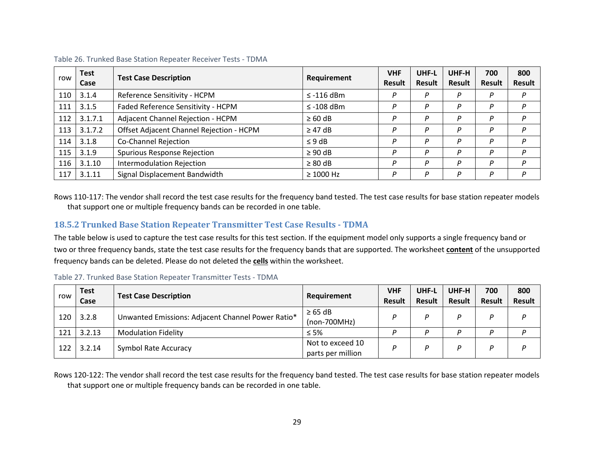| row | <b>Test</b><br>Case | <b>Test Case Description</b>             | Requirement     | <b>VHF</b><br><b>Result</b> | UHF-L<br><b>Result</b> | UHF-H<br>Result | 700<br><b>Result</b> | 800<br><b>Result</b> |
|-----|---------------------|------------------------------------------|-----------------|-----------------------------|------------------------|-----------------|----------------------|----------------------|
| 110 | 3.1.4               | Reference Sensitivity - HCPM             | $\leq$ -116 dBm | D                           | D                      | P               | D                    | D                    |
| 111 | 3.1.5               | Faded Reference Sensitivity - HCPM       | $\leq$ -108 dBm |                             | D                      | D               | D                    | D                    |
| 112 | 3.1.7.1             | Adjacent Channel Rejection - HCPM        | $\geq 60$ dB    | D                           | D                      | P               | D                    | D                    |
| 113 | 3.1.7.2             | Offset Adjacent Channel Rejection - HCPM | $\geq$ 47 dB    | P                           | D                      | P               | D                    | D                    |
| 114 | 3.1.8               | Co-Channel Rejection                     | $\leq 9$ dB     | P                           | D                      | P               | D                    | D                    |
| 115 | 3.1.9               | <b>Spurious Response Rejection</b>       | $\geq 90$ dB    | P                           |                        | D               | D                    | D                    |
| 116 | 3.1.10              | Intermodulation Rejection                | $\geq 80$ dB    | D                           | D                      | D               | D                    | D                    |
| 117 | 3.1.11              | Signal Displacement Bandwidth            | $\geq 1000$ Hz  |                             | D                      | D               | D                    | D                    |

Table 26. Trunked Base Station Repeater Receiver Tests - TDMA

Rows 110-117: The vendor shall record the test case results for the frequency band tested. The test case results for base station repeater models that support one or multiple frequency bands can be recorded in one table.

#### **18.5.2 Trunked Base Station Repeater Transmitter Test Case Results - TDMA**

The table below is used to capture the test case results for this test section. If the equipment model only supports a single frequency band or two or three frequency bands, state the test case results for the frequency bands that are supported. The worksheet **content** of the unsupported frequency bands can be deleted. Please do not deleted the **cells** within the worksheet.

| row | <b>Test</b><br>Case | <b>Test Case Description</b>                      | Requirement                           | <b>VHF</b><br><b>Result</b> | UHF-L<br>Result | UHF-H<br><b>Result</b> | 700<br><b>Result</b> | 800<br><b>Result</b> |
|-----|---------------------|---------------------------------------------------|---------------------------------------|-----------------------------|-----------------|------------------------|----------------------|----------------------|
| 120 | 3.2.8               | Unwanted Emissions: Adjacent Channel Power Ratio* | $\geq 65$ dB<br>$(non-700MHz)$        | D                           | D               | D                      | D                    | D                    |
| 121 | 3.2.13              | <b>Modulation Fidelity</b>                        | $\leq 5\%$                            | D                           | D               | D                      | מ                    |                      |
| 122 | 3.2.14              | <b>Symbol Rate Accuracy</b>                       | Not to exceed 10<br>parts per million | D                           | D               | D                      | D                    | D                    |

Table 27. Trunked Base Station Repeater Transmitter Tests - TDMA

Rows 120-122: The vendor shall record the test case results for the frequency band tested. The test case results for base station repeater models that support one or multiple frequency bands can be recorded in one table.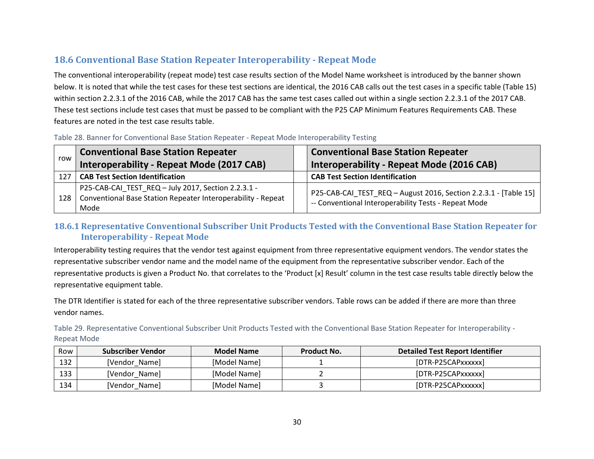# **18.6 Conventional Base Station Repeater Interoperability - Repeat Mode**

The conventional interoperability (repeat mode) test case results section of the Model Name worksheet is introduced by the banner shown below. It is noted that while the test cases for these test sections are identical, the 2016 CAB calls out the test cases in a specific table (Table 15) within section 2.2.3.1 of the 2016 CAB, while the 2017 CAB has the same test cases called out within a single section 2.2.3.1 of the 2017 CAB. These test sections include test cases that must be passed to be compliant with the P25 CAP Minimum Features Requirements CAB. These features are noted in the test case results table.

| Table 28. Banner for Conventional Base Station Repeater - Repeat Mode Interoperability Testing |  |  |
|------------------------------------------------------------------------------------------------|--|--|
|------------------------------------------------------------------------------------------------|--|--|

| row | <b>Conventional Base Station Repeater</b>                                                                                                | <b>Conventional Base Station Repeater</b>                                                                                  |
|-----|------------------------------------------------------------------------------------------------------------------------------------------|----------------------------------------------------------------------------------------------------------------------------|
|     | Interoperability - Repeat Mode (2017 CAB)                                                                                                | Interoperability - Repeat Mode (2016 CAB)                                                                                  |
| 127 | <b>CAB Test Section Identification</b>                                                                                                   | <b>CAB Test Section Identification</b>                                                                                     |
| 128 | P25-CAB-CAI_TEST_REQ - July 2017, Section 2.2.3.1 -<br><sup>1</sup> Conventional Base Station Repeater Interoperability - Repeat<br>Mode | P25-CAB-CAI_TEST_REQ - August 2016, Section 2.2.3.1 - [Table 15]  <br>-- Conventional Interoperability Tests - Repeat Mode |

#### **18.6.1 Representative Conventional Subscriber Unit Products Tested with the Conventional Base Station Repeater for Interoperability - Repeat Mode**

Interoperability testing requires that the vendor test against equipment from three representative equipment vendors. The vendor states the representative subscriber vendor name and the model name of the equipment from the representative subscriber vendor. Each of the representative products is given a Product No. that correlates to the 'Product [x] Result' column in the test case results table directly below the representative equipment table.

The DTR Identifier is stated for each of the three representative subscriber vendors. Table rows can be added if there are more than three vendor names.

Table 29. Representative Conventional Subscriber Unit Products Tested with the Conventional Base Station Repeater for Interoperability - Repeat Mode

| Row | Subscriber Vendor | <b>Model Name</b> | Product No. | <b>Detailed Test Report Identifier</b> |
|-----|-------------------|-------------------|-------------|----------------------------------------|
| 132 | [Vendor Name]     | [Model Name]      |             | [DTR-P25CAPxxxxxx]                     |
| 133 | [Vendor Name]     | [Model Name]      |             | [DTR-P25CAPxxxxxx]                     |
| 134 | [Vendor Name]     | [Model Name]      |             | [DTR-P25CAPxxxxxx]                     |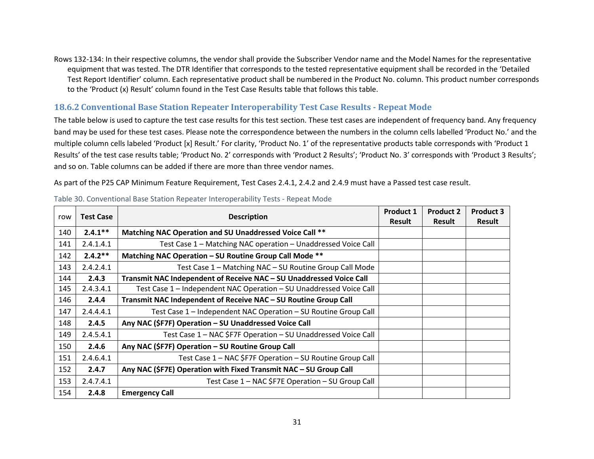Rows 132-134: In their respective columns, the vendor shall provide the Subscriber Vendor name and the Model Names for the representative equipment that was tested. The DTR Identifier that corresponds to the tested representative equipment shall be recorded in the 'Detailed Test Report Identifier' column. Each representative product shall be numbered in the Product No. column. This product number corresponds to the 'Product (x) Result' column found in the Test Case Results table that follows this table.

#### **18.6.2 Conventional Base Station Repeater Interoperability Test Case Results - Repeat Mode**

The table below is used to capture the test case results for this test section. These test cases are independent of frequency band. Any frequency band may be used for these test cases. Please note the correspondence between the numbers in the column cells labelled 'Product No.' and the multiple column cells labeled 'Product [x] Result.' For clarity, 'Product No. 1' of the representative products table corresponds with 'Product 1 Results' of the test case results table; 'Product No. 2' corresponds with 'Product 2 Results'; 'Product No. 3' corresponds with 'Product 3 Results'; and so on. Table columns can be added if there are more than three vendor names.

As part of the P25 CAP Minimum Feature Requirement, Test Cases 2.4.1, 2.4.2 and 2.4.9 must have a Passed test case result.

| <b>Test Case</b><br>row |            | <b>Description</b>                                                  |  | <b>Product 2</b> | <b>Product 3</b> |
|-------------------------|------------|---------------------------------------------------------------------|--|------------------|------------------|
|                         |            |                                                                     |  | <b>Result</b>    | <b>Result</b>    |
| 140                     | $2.4.1***$ | Matching NAC Operation and SU Unaddressed Voice Call **             |  |                  |                  |
| 141                     | 2.4.1.4.1  | Test Case 1 - Matching NAC operation - Unaddressed Voice Call       |  |                  |                  |
| 142                     | $2.4.2**$  | Matching NAC Operation - SU Routine Group Call Mode **              |  |                  |                  |
| 143                     | 2.4.2.4.1  | Test Case 1 - Matching NAC - SU Routine Group Call Mode             |  |                  |                  |
| 144                     | 2.4.3      | Transmit NAC Independent of Receive NAC - SU Unaddressed Voice Call |  |                  |                  |
| 145                     | 2.4.3.4.1  | Test Case 1 - Independent NAC Operation - SU Unaddressed Voice Call |  |                  |                  |
| 146                     | 2.4.4      | Transmit NAC Independent of Receive NAC - SU Routine Group Call     |  |                  |                  |
| 147                     | 2.4.4.4.1  | Test Case 1 - Independent NAC Operation - SU Routine Group Call     |  |                  |                  |
| 148                     | 2.4.5      | Any NAC (\$F7F) Operation - SU Unaddressed Voice Call               |  |                  |                  |
| 149                     | 2.4.5.4.1  | Test Case 1 - NAC \$F7F Operation - SU Unaddressed Voice Call       |  |                  |                  |
| 150                     | 2.4.6      | Any NAC (\$F7F) Operation - SU Routine Group Call                   |  |                  |                  |
| 151                     | 2.4.6.4.1  | Test Case 1 – NAC \$F7F Operation – SU Routine Group Call           |  |                  |                  |
| 152                     | 2.4.7      | Any NAC (\$F7E) Operation with Fixed Transmit NAC - SU Group Call   |  |                  |                  |
| 153                     | 2.4.7.4.1  | Test Case 1 - NAC \$F7E Operation - SU Group Call                   |  |                  |                  |
| 154                     | 2.4.8      | <b>Emergency Call</b>                                               |  |                  |                  |

#### Table 30. Conventional Base Station Repeater Interoperability Tests - Repeat Mode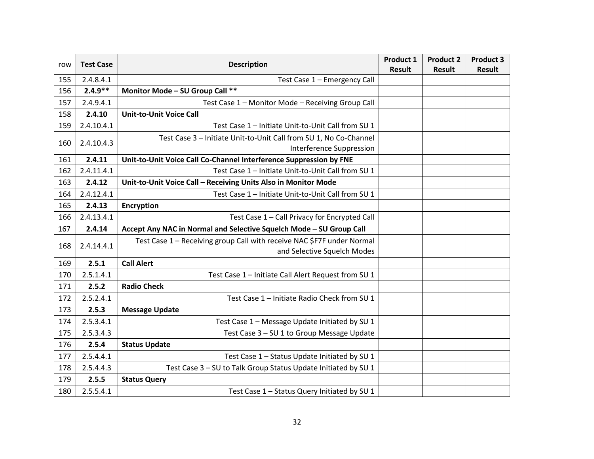| row | <b>Test Case</b> | <b>Description</b>                                                     | Product 1<br><b>Result</b> | <b>Product 2</b><br><b>Result</b> | <b>Product 3</b><br><b>Result</b> |
|-----|------------------|------------------------------------------------------------------------|----------------------------|-----------------------------------|-----------------------------------|
| 155 | 2.4.8.4.1        | Test Case 1 - Emergency Call                                           |                            |                                   |                                   |
| 156 | $2.4.9**$        | Monitor Mode - SU Group Call **                                        |                            |                                   |                                   |
| 157 | 2.4.9.4.1        | Test Case 1 - Monitor Mode - Receiving Group Call                      |                            |                                   |                                   |
| 158 | 2.4.10           | <b>Unit-to-Unit Voice Call</b>                                         |                            |                                   |                                   |
| 159 | 2.4.10.4.1       | Test Case 1 - Initiate Unit-to-Unit Call from SU 1                     |                            |                                   |                                   |
|     |                  | Test Case 3 - Initiate Unit-to-Unit Call from SU 1, No Co-Channel      |                            |                                   |                                   |
| 160 | 2.4.10.4.3       | Interference Suppression                                               |                            |                                   |                                   |
| 161 | 2.4.11           | Unit-to-Unit Voice Call Co-Channel Interference Suppression by FNE     |                            |                                   |                                   |
| 162 | 2.4.11.4.1       | Test Case 1 - Initiate Unit-to-Unit Call from SU 1                     |                            |                                   |                                   |
| 163 | 2.4.12           | Unit-to-Unit Voice Call - Receiving Units Also in Monitor Mode         |                            |                                   |                                   |
| 164 | 2.4.12.4.1       | Test Case 1 - Initiate Unit-to-Unit Call from SU 1                     |                            |                                   |                                   |
| 165 | 2.4.13           | <b>Encryption</b>                                                      |                            |                                   |                                   |
| 166 | 2.4.13.4.1       | Test Case 1 - Call Privacy for Encrypted Call                          |                            |                                   |                                   |
| 167 | 2.4.14           | Accept Any NAC in Normal and Selective Squelch Mode - SU Group Call    |                            |                                   |                                   |
| 168 | 2.4.14.4.1       | Test Case 1 - Receiving group Call with receive NAC \$F7F under Normal |                            |                                   |                                   |
|     |                  | and Selective Squelch Modes                                            |                            |                                   |                                   |
| 169 | 2.5.1            | <b>Call Alert</b>                                                      |                            |                                   |                                   |
| 170 | 2.5.1.4.1        | Test Case 1 - Initiate Call Alert Request from SU 1                    |                            |                                   |                                   |
| 171 | 2.5.2            | <b>Radio Check</b>                                                     |                            |                                   |                                   |
| 172 | 2.5.2.4.1        | Test Case 1 - Initiate Radio Check from SU 1                           |                            |                                   |                                   |
| 173 | 2.5.3            | <b>Message Update</b>                                                  |                            |                                   |                                   |
| 174 | 2.5.3.4.1        | Test Case 1 - Message Update Initiated by SU 1                         |                            |                                   |                                   |
| 175 | 2.5.3.4.3        | Test Case 3 - SU 1 to Group Message Update                             |                            |                                   |                                   |
| 176 | 2.5.4            | <b>Status Update</b>                                                   |                            |                                   |                                   |
| 177 | 2.5.4.4.1        | Test Case 1 - Status Update Initiated by SU 1                          |                            |                                   |                                   |
| 178 | 2.5.4.4.3        | Test Case 3 - SU to Talk Group Status Update Initiated by SU 1         |                            |                                   |                                   |
| 179 | 2.5.5            | <b>Status Query</b>                                                    |                            |                                   |                                   |
| 180 | 2.5.5.4.1        | Test Case 1 - Status Query Initiated by SU 1                           |                            |                                   |                                   |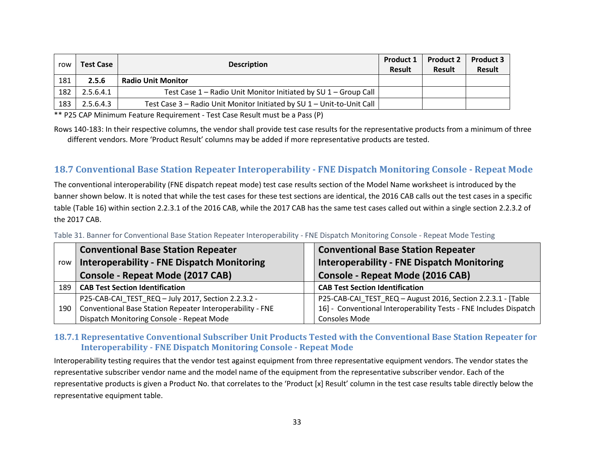| row | <b>Test Case</b> | <b>Description</b>                                                     | <b>Product 1</b><br><b>Result</b> | <b>Product 2</b><br><b>Result</b> | <b>Product 3</b><br><b>Result</b> |
|-----|------------------|------------------------------------------------------------------------|-----------------------------------|-----------------------------------|-----------------------------------|
| 181 | 2.5.6            | <b>Radio Unit Monitor</b>                                              |                                   |                                   |                                   |
| 182 | 2.5.6.4.1        | Test Case 1 – Radio Unit Monitor Initiated by SU 1 – Group Call        |                                   |                                   |                                   |
| 183 | 2.5.6.4.3        | Test Case 3 - Radio Unit Monitor Initiated by SU 1 - Unit-to-Unit Call |                                   |                                   |                                   |

\*\* P25 CAP Minimum Feature Requirement - Test Case Result must be a Pass (P)

Rows 140-183: In their respective columns, the vendor shall provide test case results for the representative products from a minimum of three different vendors. More 'Product Result' columns may be added if more representative products are tested.

# **18.7 Conventional Base Station Repeater Interoperability - FNE Dispatch Monitoring Console - Repeat Mode**

The conventional interoperability (FNE dispatch repeat mode) test case results section of the Model Name worksheet is introduced by the banner shown below. It is noted that while the test cases for these test sections are identical, the 2016 CAB calls out the test cases in a specific table (Table 16) within section 2.2.3.1 of the 2016 CAB, while the 2017 CAB has the same test cases called out within a single section 2.2.3.2 of the 2017 CAB.

|     | <b>Conventional Base Station Repeater</b>                 | <b>Conventional Base Station Repeater</b>                         |
|-----|-----------------------------------------------------------|-------------------------------------------------------------------|
| row | <b>Interoperability - FNE Dispatch Monitoring</b>         | <b>Interoperability - FNE Dispatch Monitoring</b>                 |
|     | <b>Console - Repeat Mode (2017 CAB)</b>                   | <b>Console - Repeat Mode (2016 CAB)</b>                           |
| 189 | <b>CAB Test Section Identification</b>                    | <b>CAB Test Section Identification</b>                            |
|     | P25-CAB-CAI_TEST_REQ - July 2017, Section 2.2.3.2 -       | P25-CAB-CAI_TEST_REQ - August 2016, Section 2.2.3.1 - [Table      |
| 190 | Conventional Base Station Repeater Interoperability - FNE | 16] - Conventional Interoperability Tests - FNE Includes Dispatch |
|     | Dispatch Monitoring Console - Repeat Mode                 | <b>Consoles Mode</b>                                              |

Table 31. Banner for Conventional Base Station Repeater Interoperability - FNE Dispatch Monitoring Console - Repeat Mode Testing

#### **18.7.1 Representative Conventional Subscriber Unit Products Tested with the Conventional Base Station Repeater for Interoperability - FNE Dispatch Monitoring Console - Repeat Mode**

Interoperability testing requires that the vendor test against equipment from three representative equipment vendors. The vendor states the representative subscriber vendor name and the model name of the equipment from the representative subscriber vendor. Each of the representative products is given a Product No. that correlates to the 'Product [x] Result' column in the test case results table directly below the representative equipment table.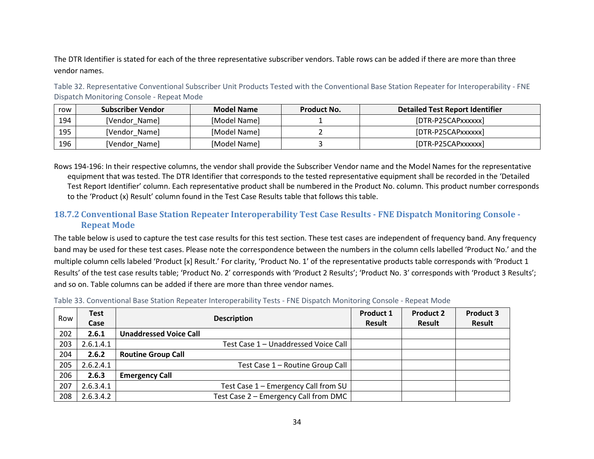The DTR Identifier is stated for each of the three representative subscriber vendors. Table rows can be added if there are more than three vendor names.

Table 32. Representative Conventional Subscriber Unit Products Tested with the Conventional Base Station Repeater for Interoperability - FNE Dispatch Monitoring Console - Repeat Mode

| row | Subscriber Vendor | <b>Model Name</b> | Product No. | Detailed Test Report Identifier |
|-----|-------------------|-------------------|-------------|---------------------------------|
| 194 | [Vendor Name]     | [Model Name]      |             | [DTR-P25CAPxxxxxx]              |
| 195 | [Vendor Name]     | [Model Name]      |             | [DTR-P25CAPxxxxxx]              |
| 196 | [Vendor_Name]     | [Model Name]      |             | [DTR-P25CAPxxxxxx]              |

Rows 194-196: In their respective columns, the vendor shall provide the Subscriber Vendor name and the Model Names for the representative equipment that was tested. The DTR Identifier that corresponds to the tested representative equipment shall be recorded in the 'Detailed Test Report Identifier' column. Each representative product shall be numbered in the Product No. column. This product number corresponds to the 'Product (x) Result' column found in the Test Case Results table that follows this table.

### **18.7.2 Conventional Base Station Repeater Interoperability Test Case Results - FNE Dispatch Monitoring Console - Repeat Mode**

The table below is used to capture the test case results for this test section. These test cases are independent of frequency band. Any frequency band may be used for these test cases. Please note the correspondence between the numbers in the column cells labelled 'Product No.' and the multiple column cells labeled 'Product [x] Result.' For clarity, 'Product No. 1' of the representative products table corresponds with 'Product 1 Results' of the test case results table; 'Product No. 2' corresponds with 'Product 2 Results'; 'Product No. 3' corresponds with 'Product 3 Results'; and so on. Table columns can be added if there are more than three vendor names.

| Row | <b>Test</b> | <b>Description</b>                    | <b>Product 1</b> | <b>Product 2</b> | <b>Product 3</b> |
|-----|-------------|---------------------------------------|------------------|------------------|------------------|
|     | Case        |                                       | <b>Result</b>    | Result           | Result           |
| 202 | 2.6.1       | <b>Unaddressed Voice Call</b>         |                  |                  |                  |
| 203 | 2.6.1.4.1   | Test Case 1 - Unaddressed Voice Call  |                  |                  |                  |
| 204 | 2.6.2       | <b>Routine Group Call</b>             |                  |                  |                  |
| 205 | 2.6.2.4.1   | Test Case 1 - Routine Group Call      |                  |                  |                  |
| 206 | 2.6.3       | <b>Emergency Call</b>                 |                  |                  |                  |
| 207 | 2.6.3.4.1   | Test Case 1 - Emergency Call from SU  |                  |                  |                  |
| 208 | 2.6.3.4.2   | Test Case 2 - Emergency Call from DMC |                  |                  |                  |

Table 33. Conventional Base Station Repeater Interoperability Tests - FNE Dispatch Monitoring Console - Repeat Mode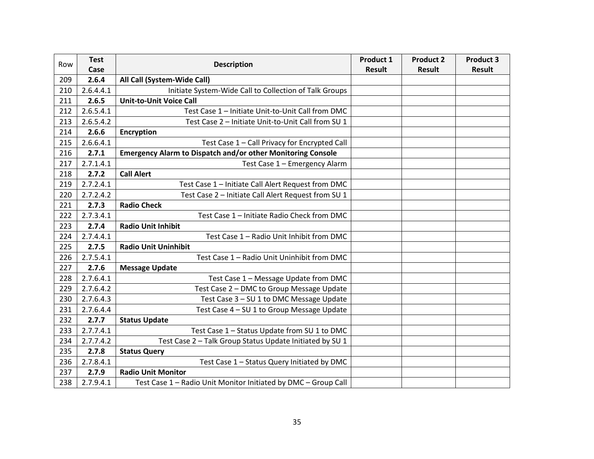| Row | <b>Test</b><br><b>Description</b> |                                                                    | Product 1     | <b>Product 2</b> | <b>Product 3</b> |
|-----|-----------------------------------|--------------------------------------------------------------------|---------------|------------------|------------------|
|     | Case                              |                                                                    | <b>Result</b> | <b>Result</b>    | <b>Result</b>    |
| 209 | 2.6.4                             | All Call (System-Wide Call)                                        |               |                  |                  |
| 210 | 2.6.4.4.1                         | Initiate System-Wide Call to Collection of Talk Groups             |               |                  |                  |
| 211 | 2.6.5                             | <b>Unit-to-Unit Voice Call</b>                                     |               |                  |                  |
| 212 | 2.6.5.4.1                         | Test Case 1 - Initiate Unit-to-Unit Call from DMC                  |               |                  |                  |
| 213 | 2.6.5.4.2                         | Test Case 2 - Initiate Unit-to-Unit Call from SU 1                 |               |                  |                  |
| 214 | 2.6.6                             | <b>Encryption</b>                                                  |               |                  |                  |
| 215 | 2.6.6.4.1                         | Test Case 1 - Call Privacy for Encrypted Call                      |               |                  |                  |
| 216 | 2.7.1                             | <b>Emergency Alarm to Dispatch and/or other Monitoring Console</b> |               |                  |                  |
| 217 | 2.7.1.4.1                         | Test Case 1 - Emergency Alarm                                      |               |                  |                  |
| 218 | 2.7.2                             | <b>Call Alert</b>                                                  |               |                  |                  |
| 219 | 2.7.2.4.1                         | Test Case 1 - Initiate Call Alert Request from DMC                 |               |                  |                  |
| 220 | 2.7.2.4.2                         | Test Case 2 - Initiate Call Alert Request from SU 1                |               |                  |                  |
| 221 | 2.7.3                             | <b>Radio Check</b>                                                 |               |                  |                  |
| 222 | 2.7.3.4.1                         | Test Case 1 - Initiate Radio Check from DMC                        |               |                  |                  |
| 223 | 2.7.4                             | <b>Radio Unit Inhibit</b>                                          |               |                  |                  |
| 224 | 2.7.4.4.1                         | Test Case 1 - Radio Unit Inhibit from DMC                          |               |                  |                  |
| 225 | 2.7.5                             | <b>Radio Unit Uninhibit</b>                                        |               |                  |                  |
| 226 | 2.7.5.4.1                         | Test Case 1 - Radio Unit Uninhibit from DMC                        |               |                  |                  |
| 227 | 2.7.6                             | <b>Message Update</b>                                              |               |                  |                  |
| 228 | 2.7.6.4.1                         | Test Case 1 - Message Update from DMC                              |               |                  |                  |
| 229 | 2.7.6.4.2                         | Test Case 2 - DMC to Group Message Update                          |               |                  |                  |
| 230 | 2.7.6.4.3                         | Test Case 3 - SU 1 to DMC Message Update                           |               |                  |                  |
| 231 | 2.7.6.4.4                         | Test Case 4 - SU 1 to Group Message Update                         |               |                  |                  |
| 232 | 2.7.7                             | <b>Status Update</b>                                               |               |                  |                  |
| 233 | 2.7.7.4.1                         | Test Case 1 - Status Update from SU 1 to DMC                       |               |                  |                  |
| 234 | 2.7.7.4.2                         | Test Case 2 - Talk Group Status Update Initiated by SU 1           |               |                  |                  |
| 235 | 2.7.8                             | <b>Status Query</b>                                                |               |                  |                  |
| 236 | 2.7.8.4.1                         | Test Case 1 - Status Query Initiated by DMC                        |               |                  |                  |
| 237 | 2.7.9                             | <b>Radio Unit Monitor</b>                                          |               |                  |                  |
| 238 | 2.7.9.4.1                         | Test Case 1 - Radio Unit Monitor Initiated by DMC - Group Call     |               |                  |                  |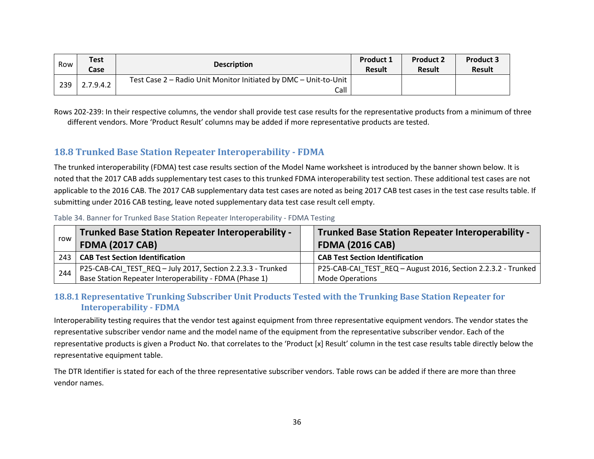| Row | <b>Test</b><br>Case | <b>Description</b>                                                         | <b>Product 1</b><br><b>Result</b> | <b>Product 2</b><br><b>Result</b> | <b>Product 3</b><br><b>Result</b> |
|-----|---------------------|----------------------------------------------------------------------------|-----------------------------------|-----------------------------------|-----------------------------------|
| 239 | 2.7.9.4.2           | Test Case 2 - Radio Unit Monitor Initiated by DMC - Unit-to-Unit  <br>Call |                                   |                                   |                                   |

Rows 202-239: In their respective columns, the vendor shall provide test case results for the representative products from a minimum of three different vendors. More 'Product Result' columns may be added if more representative products are tested.

### **18.8 Trunked Base Station Repeater Interoperability - FDMA**

The trunked interoperability (FDMA) test case results section of the Model Name worksheet is introduced by the banner shown below. It is noted that the 2017 CAB adds supplementary test cases to this trunked FDMA interoperability test section. These additional test cases are not applicable to the 2016 CAB. The 2017 CAB supplementary data test cases are noted as being 2017 CAB test cases in the test case results table. If submitting under 2016 CAB testing, leave noted supplementary data test case result cell empty.

| row | <b>Trunked Base Station Repeater Interoperability -</b><br><b>FDMA (2017 CAB)</b> | <b>Trunked Base Station Repeater Interoperability -</b><br><b>FDMA (2016 CAB)</b> |
|-----|-----------------------------------------------------------------------------------|-----------------------------------------------------------------------------------|
| 243 | <b>CAB Test Section Identification</b>                                            | <b>CAB Test Section Identification</b>                                            |
| 244 | P25-CAB-CAI_TEST_REQ - July 2017, Section 2.2.3.3 - Trunked                       | P25-CAB-CAI_TEST_REQ - August 2016, Section 2.2.3.2 - Trunked                     |
|     | Base Station Repeater Interoperability - FDMA (Phase 1)                           | <b>Mode Operations</b>                                                            |

Table 34. Banner for Trunked Base Station Repeater Interoperability - FDMA Testing

#### **18.8.1 Representative Trunking Subscriber Unit Products Tested with the Trunking Base Station Repeater for Interoperability - FDMA**

Interoperability testing requires that the vendor test against equipment from three representative equipment vendors. The vendor states the representative subscriber vendor name and the model name of the equipment from the representative subscriber vendor. Each of the representative products is given a Product No. that correlates to the 'Product [x] Result' column in the test case results table directly below the representative equipment table.

The DTR Identifier is stated for each of the three representative subscriber vendors. Table rows can be added if there are more than three vendor names.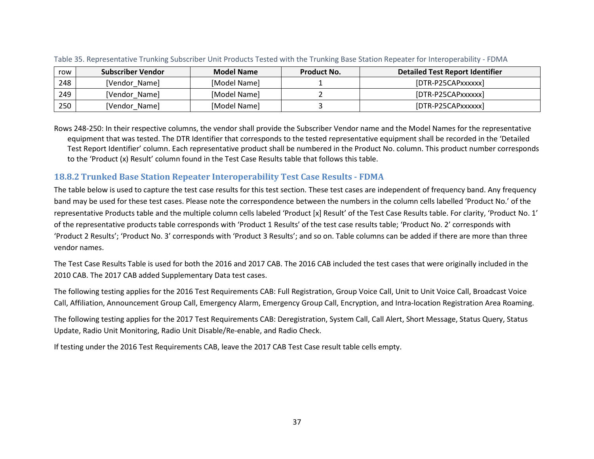| row | <b>Subscriber Vendor</b> | <b>Model Name</b> | Product No. | <b>Detailed Test Report Identifier</b> |
|-----|--------------------------|-------------------|-------------|----------------------------------------|
| 248 | [Vendor Name]            | [Model Name]      |             | [DTR-P25CAPxxxxxx]                     |
| 249 | [Vendor Name]            | [Model Name]      |             | [DTR-P25CAPxxxxxx]                     |
| 250 | [Vendor_Name]            | [Model Name]      |             | [DTR-P25CAPxxxxxx]                     |

Table 35. Representative Trunking Subscriber Unit Products Tested with the Trunking Base Station Repeater for Interoperability - FDMA

Rows 248-250: In their respective columns, the vendor shall provide the Subscriber Vendor name and the Model Names for the representative equipment that was tested. The DTR Identifier that corresponds to the tested representative equipment shall be recorded in the 'Detailed Test Report Identifier' column. Each representative product shall be numbered in the Product No. column. This product number corresponds to the 'Product (x) Result' column found in the Test Case Results table that follows this table.

#### **18.8.2 Trunked Base Station Repeater Interoperability Test Case Results - FDMA**

The table below is used to capture the test case results for this test section. These test cases are independent of frequency band. Any frequency band may be used for these test cases. Please note the correspondence between the numbers in the column cells labelled 'Product No.' of the representative Products table and the multiple column cells labeled 'Product [x] Result' of the Test Case Results table. For clarity, 'Product No. 1' of the representative products table corresponds with 'Product 1 Results' of the test case results table; 'Product No. 2' corresponds with 'Product 2 Results'; 'Product No. 3' corresponds with 'Product 3 Results'; and so on. Table columns can be added if there are more than three vendor names.

The Test Case Results Table is used for both the 2016 and 2017 CAB. The 2016 CAB included the test cases that were originally included in the 2010 CAB. The 2017 CAB added Supplementary Data test cases.

The following testing applies for the 2016 Test Requirements CAB: Full Registration, Group Voice Call, Unit to Unit Voice Call, Broadcast Voice Call, Affiliation, Announcement Group Call, Emergency Alarm, Emergency Group Call, Encryption, and Intra-location Registration Area Roaming.

The following testing applies for the 2017 Test Requirements CAB: Deregistration, System Call, Call Alert, Short Message, Status Query, Status Update, Radio Unit Monitoring, Radio Unit Disable/Re-enable, and Radio Check.

If testing under the 2016 Test Requirements CAB, leave the 2017 CAB Test Case result table cells empty.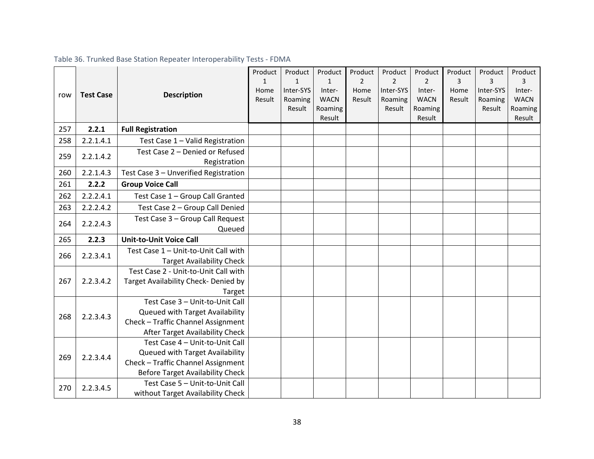## Table 36. Trunked Base Station Repeater Interoperability Tests - FDMA

|     |                  |                                                                      | Product        | Product                   | Product               | Product        | Product        | Product               | Product   | Product        | Product     |
|-----|------------------|----------------------------------------------------------------------|----------------|---------------------------|-----------------------|----------------|----------------|-----------------------|-----------|----------------|-------------|
|     |                  |                                                                      | $\mathbf{1}$   | $\mathbf{1}$<br>Inter-SYS | $\mathbf{1}$          | $\overline{2}$ | 2<br>Inter-SYS | $\overline{2}$        | 3<br>Home | 3<br>Inter-SYS | 3<br>Inter- |
| row | <b>Test Case</b> | <b>Description</b>                                                   | Home<br>Result | Roaming                   | Inter-<br><b>WACN</b> | Home<br>Result | Roaming        | Inter-<br><b>WACN</b> | Result    | Roaming        | <b>WACN</b> |
|     |                  |                                                                      |                | Result                    | Roaming               |                | Result         | Roaming               |           | Result         | Roaming     |
|     |                  |                                                                      |                |                           | Result                |                |                | Result                |           |                | Result      |
| 257 | 2.2.1            | <b>Full Registration</b>                                             |                |                           |                       |                |                |                       |           |                |             |
| 258 | 2.2.1.4.1        | Test Case 1 - Valid Registration                                     |                |                           |                       |                |                |                       |           |                |             |
| 259 | 2.2.1.4.2        | Test Case 2 - Denied or Refused                                      |                |                           |                       |                |                |                       |           |                |             |
|     | Registration     |                                                                      |                |                           |                       |                |                |                       |           |                |             |
| 260 | 2.2.1.4.3        | Test Case 3 - Unverified Registration                                |                |                           |                       |                |                |                       |           |                |             |
| 261 | 2.2.2            | <b>Group Voice Call</b>                                              |                |                           |                       |                |                |                       |           |                |             |
| 262 | 2.2.2.4.1        | Test Case 1 - Group Call Granted                                     |                |                           |                       |                |                |                       |           |                |             |
| 263 | 2.2.2.4.2        | Test Case 2 - Group Call Denied                                      |                |                           |                       |                |                |                       |           |                |             |
| 264 | 2.2.2.4.3        | Test Case 3 - Group Call Request                                     |                |                           |                       |                |                |                       |           |                |             |
|     |                  | Queued                                                               |                |                           |                       |                |                |                       |           |                |             |
| 265 | 2.2.3            | <b>Unit-to-Unit Voice Call</b>                                       |                |                           |                       |                |                |                       |           |                |             |
|     |                  |                                                                      |                |                           |                       |                |                |                       |           |                |             |
|     |                  | Test Case 1 - Unit-to-Unit Call with                                 |                |                           |                       |                |                |                       |           |                |             |
| 266 | 2.2.3.4.1        | <b>Target Availability Check</b>                                     |                |                           |                       |                |                |                       |           |                |             |
|     |                  | Test Case 2 - Unit-to-Unit Call with                                 |                |                           |                       |                |                |                       |           |                |             |
| 267 | 2.2.3.4.2        | Target Availability Check- Denied by                                 |                |                           |                       |                |                |                       |           |                |             |
|     |                  | Target                                                               |                |                           |                       |                |                |                       |           |                |             |
|     |                  | Test Case 3 - Unit-to-Unit Call                                      |                |                           |                       |                |                |                       |           |                |             |
| 268 | 2.2.3.4.3        | Queued with Target Availability                                      |                |                           |                       |                |                |                       |           |                |             |
|     |                  | Check - Traffic Channel Assignment                                   |                |                           |                       |                |                |                       |           |                |             |
|     |                  | After Target Availability Check                                      |                |                           |                       |                |                |                       |           |                |             |
|     |                  | Test Case 4 - Unit-to-Unit Call                                      |                |                           |                       |                |                |                       |           |                |             |
|     |                  | Queued with Target Availability                                      |                |                           |                       |                |                |                       |           |                |             |
| 269 | 2.2.3.4.4        | Check - Traffic Channel Assignment                                   |                |                           |                       |                |                |                       |           |                |             |
|     |                  | <b>Before Target Availability Check</b>                              |                |                           |                       |                |                |                       |           |                |             |
| 270 | 2.2.3.4.5        | Test Case 5 - Unit-to-Unit Call<br>without Target Availability Check |                |                           |                       |                |                |                       |           |                |             |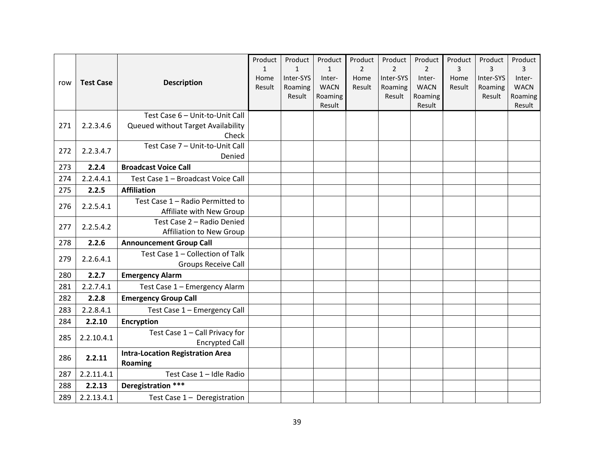| row | <b>Test Case</b> | <b>Description</b>                                                             | Product<br>$\mathbf{1}$<br>Home<br>Result | Product<br>$\mathbf{1}$<br>Inter-SYS<br>Roaming<br>Result | Product<br>$\mathbf{1}$<br>Inter-<br><b>WACN</b><br>Roaming | Product<br>$\overline{2}$<br>Home<br>Result | Product<br>$\overline{2}$<br>Inter-SYS<br>Roaming<br>Result | Product<br>$\overline{2}$<br>Inter-<br><b>WACN</b><br>Roaming | Product<br>3<br>Home<br>Result | Product<br>$\overline{3}$<br>Inter-SYS<br>Roaming<br>Result | Product<br>3<br>Inter-<br><b>WACN</b><br>Roaming |
|-----|------------------|--------------------------------------------------------------------------------|-------------------------------------------|-----------------------------------------------------------|-------------------------------------------------------------|---------------------------------------------|-------------------------------------------------------------|---------------------------------------------------------------|--------------------------------|-------------------------------------------------------------|--------------------------------------------------|
|     |                  |                                                                                |                                           |                                                           | Result                                                      |                                             |                                                             | Result                                                        |                                |                                                             | Result                                           |
| 271 | 2.2.3.4.6        | Test Case 6 - Unit-to-Unit Call<br>Queued without Target Availability<br>Check |                                           |                                                           |                                                             |                                             |                                                             |                                                               |                                |                                                             |                                                  |
| 272 | 2.2.3.4.7        | Test Case 7 - Unit-to-Unit Call<br>Denied                                      |                                           |                                                           |                                                             |                                             |                                                             |                                                               |                                |                                                             |                                                  |
| 273 | 2.2.4            | <b>Broadcast Voice Call</b>                                                    |                                           |                                                           |                                                             |                                             |                                                             |                                                               |                                |                                                             |                                                  |
| 274 | 2.2.4.4.1        | Test Case 1 - Broadcast Voice Call                                             |                                           |                                                           |                                                             |                                             |                                                             |                                                               |                                |                                                             |                                                  |
| 275 | 2.2.5            | <b>Affiliation</b>                                                             |                                           |                                                           |                                                             |                                             |                                                             |                                                               |                                |                                                             |                                                  |
| 276 | 2.2.5.4.1        | Test Case 1 - Radio Permitted to<br>Affiliate with New Group                   |                                           |                                                           |                                                             |                                             |                                                             |                                                               |                                |                                                             |                                                  |
| 277 | 2.2.5.4.2        | Test Case 2 - Radio Denied<br>Affiliation to New Group                         |                                           |                                                           |                                                             |                                             |                                                             |                                                               |                                |                                                             |                                                  |
| 278 | 2.2.6            | <b>Announcement Group Call</b>                                                 |                                           |                                                           |                                                             |                                             |                                                             |                                                               |                                |                                                             |                                                  |
| 279 | 2.2.6.4.1        | Test Case 1 - Collection of Talk<br><b>Groups Receive Call</b>                 |                                           |                                                           |                                                             |                                             |                                                             |                                                               |                                |                                                             |                                                  |
| 280 | 2.2.7            | <b>Emergency Alarm</b>                                                         |                                           |                                                           |                                                             |                                             |                                                             |                                                               |                                |                                                             |                                                  |
| 281 | 2.2.7.4.1        | Test Case 1 - Emergency Alarm                                                  |                                           |                                                           |                                                             |                                             |                                                             |                                                               |                                |                                                             |                                                  |
| 282 | 2.2.8            | <b>Emergency Group Call</b>                                                    |                                           |                                                           |                                                             |                                             |                                                             |                                                               |                                |                                                             |                                                  |
| 283 | 2.2.8.4.1        | Test Case 1 - Emergency Call                                                   |                                           |                                                           |                                                             |                                             |                                                             |                                                               |                                |                                                             |                                                  |
| 284 | 2.2.10           | <b>Encryption</b>                                                              |                                           |                                                           |                                                             |                                             |                                                             |                                                               |                                |                                                             |                                                  |
| 285 | 2.2.10.4.1       | Test Case 1 - Call Privacy for<br><b>Encrypted Call</b>                        |                                           |                                                           |                                                             |                                             |                                                             |                                                               |                                |                                                             |                                                  |
| 286 | 2.2.11           | <b>Intra-Location Registration Area</b><br>Roaming                             |                                           |                                                           |                                                             |                                             |                                                             |                                                               |                                |                                                             |                                                  |
| 287 | 2.2.11.4.1       | Test Case 1 - Idle Radio                                                       |                                           |                                                           |                                                             |                                             |                                                             |                                                               |                                |                                                             |                                                  |
| 288 | 2.2.13           | Deregistration ***                                                             |                                           |                                                           |                                                             |                                             |                                                             |                                                               |                                |                                                             |                                                  |
| 289 | 2.2.13.4.1       | Test Case $1 -$ Deregistration                                                 |                                           |                                                           |                                                             |                                             |                                                             |                                                               |                                |                                                             |                                                  |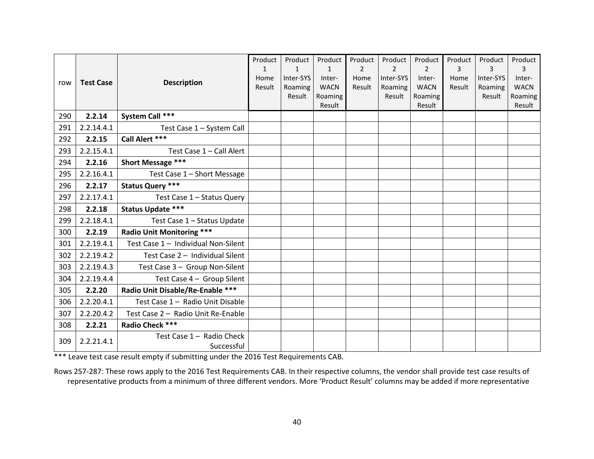|     |                  |                                     | Product | Product      | Product           | Product        | Product        | Product           | Product | Product   | Product           |
|-----|------------------|-------------------------------------|---------|--------------|-------------------|----------------|----------------|-------------------|---------|-----------|-------------------|
|     |                  |                                     | 1       | $\mathbf{1}$ | $\mathbf{1}$      | $\overline{2}$ | $\overline{2}$ | $\overline{2}$    | 3       | 3         | 3                 |
| row | <b>Test Case</b> | <b>Description</b>                  | Home    | Inter-SYS    | Inter-            | Home           | Inter-SYS      | Inter-            | Home    | Inter-SYS | Inter-            |
|     |                  |                                     | Result  | Roaming      | <b>WACN</b>       | Result         | Roaming        | <b>WACN</b>       | Result  | Roaming   | <b>WACN</b>       |
|     |                  |                                     |         | Result       | Roaming<br>Result |                | Result         | Roaming<br>Result |         | Result    | Roaming<br>Result |
| 290 | 2.2.14           | System Call ***                     |         |              |                   |                |                |                   |         |           |                   |
| 291 | 2.2.14.4.1       | Test Case 1 - System Call           |         |              |                   |                |                |                   |         |           |                   |
| 292 | 2.2.15           | Call Alert ***                      |         |              |                   |                |                |                   |         |           |                   |
| 293 | 2.2.15.4.1       | Test Case 1 - Call Alert            |         |              |                   |                |                |                   |         |           |                   |
| 294 | 2.2.16           | Short Message ***                   |         |              |                   |                |                |                   |         |           |                   |
| 295 | 2.2.16.4.1       | Test Case 1 - Short Message         |         |              |                   |                |                |                   |         |           |                   |
| 296 | 2.2.17           | <b>Status Query ***</b>             |         |              |                   |                |                |                   |         |           |                   |
| 297 | 2.2.17.4.1       | Test Case 1 - Status Query          |         |              |                   |                |                |                   |         |           |                   |
| 298 | 2.2.18           | <b>Status Update ***</b>            |         |              |                   |                |                |                   |         |           |                   |
| 299 | 2.2.18.4.1       | Test Case 1 - Status Update         |         |              |                   |                |                |                   |         |           |                   |
| 300 | 2.2.19           | <b>Radio Unit Monitoring ***</b>    |         |              |                   |                |                |                   |         |           |                   |
| 301 | 2.2.19.4.1       | Test Case 1 - Individual Non-Silent |         |              |                   |                |                |                   |         |           |                   |
| 302 | 2.2.19.4.2       | Test Case 2 - Individual Silent     |         |              |                   |                |                |                   |         |           |                   |
| 303 | 2.2.19.4.3       | Test Case 3 - Group Non-Silent      |         |              |                   |                |                |                   |         |           |                   |
| 304 | 2.2.19.4.4       | Test Case 4 - Group Silent          |         |              |                   |                |                |                   |         |           |                   |
| 305 | 2.2.20           | Radio Unit Disable/Re-Enable ***    |         |              |                   |                |                |                   |         |           |                   |
| 306 | 2.2.20.4.1       | Test Case 1 - Radio Unit Disable    |         |              |                   |                |                |                   |         |           |                   |
| 307 | 2.2.20.4.2       | Test Case 2 - Radio Unit Re-Enable  |         |              |                   |                |                |                   |         |           |                   |
| 308 | 2.2.21           | Radio Check ***                     |         |              |                   |                |                |                   |         |           |                   |
| 309 | 2.2.21.4.1       | Test Case 1 - Radio Check           |         |              |                   |                |                |                   |         |           |                   |
|     | Successful       |                                     |         |              |                   |                |                |                   |         |           |                   |

\*\*\* Leave test case result empty if submitting under the 2016 Test Requirements CAB.

Rows 257-287: These rows apply to the 2016 Test Requirements CAB. In their respective columns, the vendor shall provide test case results of representative products from a minimum of three different vendors. More 'Product Result' columns may be added if more representative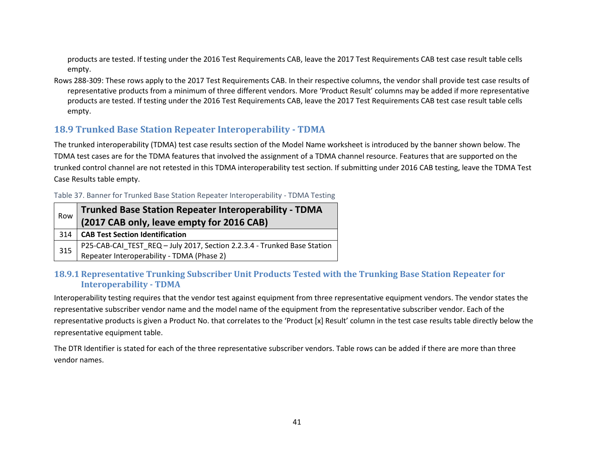products are tested. If testing under the 2016 Test Requirements CAB, leave the 2017 Test Requirements CAB test case result table cells empty.

Rows 288-309: These rows apply to the 2017 Test Requirements CAB. In their respective columns, the vendor shall provide test case results of representative products from a minimum of three different vendors. More 'Product Result' columns may be added if more representative products are tested. If testing under the 2016 Test Requirements CAB, leave the 2017 Test Requirements CAB test case result table cells empty.

## **18.9 Trunked Base Station Repeater Interoperability - TDMA**

The trunked interoperability (TDMA) test case results section of the Model Name worksheet is introduced by the banner shown below. The TDMA test cases are for the TDMA features that involved the assignment of a TDMA channel resource. Features that are supported on the trunked control channel are not retested in this TDMA interoperability test section. If submitting under 2016 CAB testing, leave the TDMA Test Case Results table empty.

#### Table 37. Banner for Trunked Base Station Repeater Interoperability - TDMA Testing

| Row | <b>Trunked Base Station Repeater Interoperability - TDMA</b><br>(2017 CAB only, leave empty for 2016 CAB) |
|-----|-----------------------------------------------------------------------------------------------------------|
| 314 | CAB Test Section Identification                                                                           |
| 315 | P25-CAB-CAI_TEST_REQ - July 2017, Section 2.2.3.4 - Trunked Base Station                                  |
|     | Repeater Interoperability - TDMA (Phase 2)                                                                |

#### **18.9.1 Representative Trunking Subscriber Unit Products Tested with the Trunking Base Station Repeater for Interoperability - TDMA**

Interoperability testing requires that the vendor test against equipment from three representative equipment vendors. The vendor states the representative subscriber vendor name and the model name of the equipment from the representative subscriber vendor. Each of the representative products is given a Product No. that correlates to the 'Product [x] Result' column in the test case results table directly below the representative equipment table.

The DTR Identifier is stated for each of the three representative subscriber vendors. Table rows can be added if there are more than three vendor names.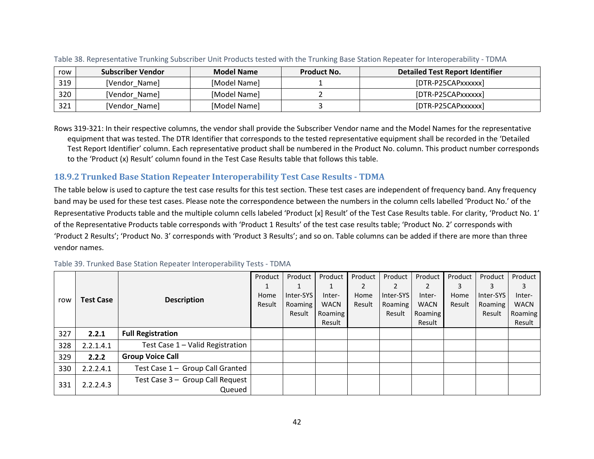| row | <b>Subscriber Vendor</b> | <b>Model Name</b> | <b>Product No.</b> | <b>Detailed Test Report Identifier</b> |
|-----|--------------------------|-------------------|--------------------|----------------------------------------|
| 319 | [Vendor Name]            | [Model Name]      |                    | [DTR-P25CAPxxxxxx]                     |
| 320 | [Vendor Name]            | [Model Name]      |                    | [DTR-P25CAPxxxxxx]                     |
| 321 | [Vendor Name]            | [Model Name]      |                    | [DTR-P25CAPxxxxxx]                     |

Table 38. Representative Trunking Subscriber Unit Products tested with the Trunking Base Station Repeater for Interoperability - TDMA

Rows 319-321: In their respective columns, the vendor shall provide the Subscriber Vendor name and the Model Names for the representative equipment that was tested. The DTR Identifier that corresponds to the tested representative equipment shall be recorded in the 'Detailed Test Report Identifier' column. Each representative product shall be numbered in the Product No. column. This product number corresponds to the 'Product (x) Result' column found in the Test Case Results table that follows this table.

### **18.9.2 Trunked Base Station Repeater Interoperability Test Case Results - TDMA**

The table below is used to capture the test case results for this test section. These test cases are independent of frequency band. Any frequency band may be used for these test cases. Please note the correspondence between the numbers in the column cells labelled 'Product No.' of the Representative Products table and the multiple column cells labeled 'Product [x] Result' of the Test Case Results table. For clarity, 'Product No. 1' of the Representative Products table corresponds with 'Product 1 Results' of the test case results table; 'Product No. 2' corresponds with 'Product 2 Results'; 'Product No. 3' corresponds with 'Product 3 Results'; and so on. Table columns can be added if there are more than three vendor names.

|     |                                        |                                  | Product | Product   | Product     | Product | Product   | Product     | Product | Product   | Product     |
|-----|----------------------------------------|----------------------------------|---------|-----------|-------------|---------|-----------|-------------|---------|-----------|-------------|
|     | <b>Description</b><br><b>Test Case</b> |                                  |         |           |             |         | 2         |             |         |           |             |
|     |                                        |                                  | Home    | Inter-SYS | Inter-      | Home    | Inter-SYS | Inter-      | Home    | Inter-SYS | Inter-      |
| row |                                        |                                  | Result  | Roaming   | <b>WACN</b> | Result  | Roaming   | <b>WACN</b> | Result  | Roaming   | <b>WACN</b> |
|     |                                        |                                  |         | Result    | Roaming     |         | Result    | Roaming     |         | Result    | Roaming     |
|     |                                        |                                  |         |           | Result      |         |           | Result      |         |           | Result      |
| 327 | 2.2.1                                  | <b>Full Registration</b>         |         |           |             |         |           |             |         |           |             |
| 328 | 2.2.1.4.1                              | Test Case 1 - Valid Registration |         |           |             |         |           |             |         |           |             |
| 329 | 2.2.2                                  | <b>Group Voice Call</b>          |         |           |             |         |           |             |         |           |             |
| 330 | 2.2.2.4.1                              | Test Case 1 - Group Call Granted |         |           |             |         |           |             |         |           |             |
|     | 2.2.2.4.3                              | Test Case 3 - Group Call Request |         |           |             |         |           |             |         |           |             |
| 331 |                                        | Queued                           |         |           |             |         |           |             |         |           |             |

Table 39. Trunked Base Station Repeater Interoperability Tests - TDMA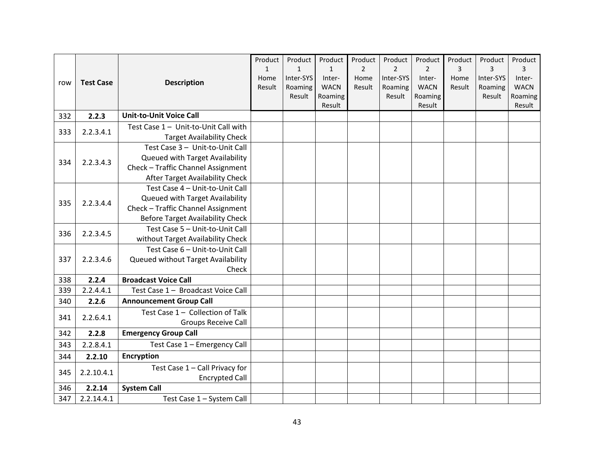|     |                  |                                      | Product        | Product              | Product               | Product        | Product              | Product               | Product        | Product              | Product               |
|-----|------------------|--------------------------------------|----------------|----------------------|-----------------------|----------------|----------------------|-----------------------|----------------|----------------------|-----------------------|
|     |                  |                                      | $\mathbf{1}$   | $\mathbf{1}$         | $\mathbf{1}$          | $\overline{2}$ | $\overline{2}$       | $\overline{2}$        | 3              | 3                    | 3                     |
| row | <b>Test Case</b> | <b>Description</b>                   | Home<br>Result | Inter-SYS<br>Roaming | Inter-<br><b>WACN</b> | Home<br>Result | Inter-SYS<br>Roaming | Inter-<br><b>WACN</b> | Home<br>Result | Inter-SYS<br>Roaming | Inter-<br><b>WACN</b> |
|     |                  |                                      |                | Result               | Roaming               |                | Result               | Roaming               |                | Result               | Roaming               |
|     |                  |                                      |                |                      | Result                |                |                      | Result                |                |                      | Result                |
| 332 | 2.2.3            | <b>Unit-to-Unit Voice Call</b>       |                |                      |                       |                |                      |                       |                |                      |                       |
|     |                  | Test Case 1 - Unit-to-Unit Call with |                |                      |                       |                |                      |                       |                |                      |                       |
| 333 | 2.2.3.4.1        | <b>Target Availability Check</b>     |                |                      |                       |                |                      |                       |                |                      |                       |
|     |                  | Test Case 3 - Unit-to-Unit Call      |                |                      |                       |                |                      |                       |                |                      |                       |
| 334 | 2.2.3.4.3        | Queued with Target Availability      |                |                      |                       |                |                      |                       |                |                      |                       |
|     |                  | Check - Traffic Channel Assignment   |                |                      |                       |                |                      |                       |                |                      |                       |
|     |                  | After Target Availability Check      |                |                      |                       |                |                      |                       |                |                      |                       |
|     |                  | Test Case 4 - Unit-to-Unit Call      |                |                      |                       |                |                      |                       |                |                      |                       |
| 335 | 2.2.3.4.4        | Queued with Target Availability      |                |                      |                       |                |                      |                       |                |                      |                       |
|     |                  | Check - Traffic Channel Assignment   |                |                      |                       |                |                      |                       |                |                      |                       |
|     |                  | Before Target Availability Check     |                |                      |                       |                |                      |                       |                |                      |                       |
| 336 | 2.2.3.4.5        | Test Case 5 - Unit-to-Unit Call      |                |                      |                       |                |                      |                       |                |                      |                       |
|     |                  | without Target Availability Check    |                |                      |                       |                |                      |                       |                |                      |                       |
|     |                  | Test Case 6 - Unit-to-Unit Call      |                |                      |                       |                |                      |                       |                |                      |                       |
| 337 | 2.2.3.4.6        | Queued without Target Availability   |                |                      |                       |                |                      |                       |                |                      |                       |
|     |                  | Check                                |                |                      |                       |                |                      |                       |                |                      |                       |
| 338 | 2.2.4            | <b>Broadcast Voice Call</b>          |                |                      |                       |                |                      |                       |                |                      |                       |
| 339 | 2.2.4.4.1        | Test Case 1 - Broadcast Voice Call   |                |                      |                       |                |                      |                       |                |                      |                       |
| 340 | 2.2.6            | <b>Announcement Group Call</b>       |                |                      |                       |                |                      |                       |                |                      |                       |
| 341 | 2.2.6.4.1        | Test Case 1 - Collection of Talk     |                |                      |                       |                |                      |                       |                |                      |                       |
|     |                  | <b>Groups Receive Call</b>           |                |                      |                       |                |                      |                       |                |                      |                       |
| 342 | 2.2.8            | <b>Emergency Group Call</b>          |                |                      |                       |                |                      |                       |                |                      |                       |
| 343 | 2.2.8.4.1        | Test Case 1 - Emergency Call         |                |                      |                       |                |                      |                       |                |                      |                       |
| 344 | 2.2.10           | <b>Encryption</b>                    |                |                      |                       |                |                      |                       |                |                      |                       |
| 345 | 2.2.10.4.1       | Test Case 1 - Call Privacy for       |                |                      |                       |                |                      |                       |                |                      |                       |
|     |                  | <b>Encrypted Call</b>                |                |                      |                       |                |                      |                       |                |                      |                       |
| 346 | 2.2.14           | <b>System Call</b>                   |                |                      |                       |                |                      |                       |                |                      |                       |
| 347 | 2.2.14.4.1       | Test Case 1 - System Call            |                |                      |                       |                |                      |                       |                |                      |                       |